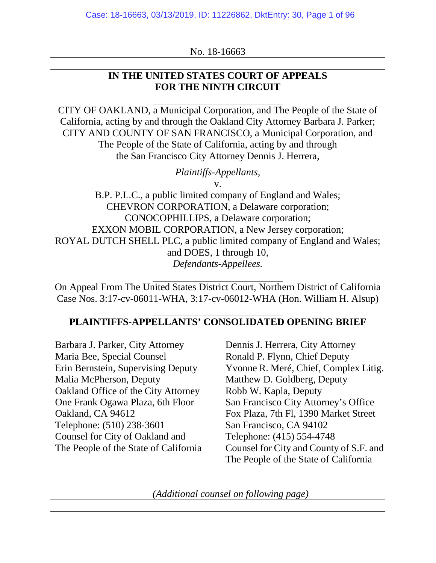No. 18-16663

## **IN THE UNITED STATES COURT OF APPEALS FOR THE NINTH CIRCUIT**

CITY OF OAKLAND, a Municipal Corporation, and The People of the State of California, acting by and through the Oakland City Attorney Barbara J. Parker; CITY AND COUNTY OF SAN FRANCISCO, a Municipal Corporation, and The People of the State of California, acting by and through the San Francisco City Attorney Dennis J. Herrera,

*Plaintiffs-Appellants,*

v.

B.P. P.L.C., a public limited company of England and Wales; CHEVRON CORPORATION, a Delaware corporation; CONOCOPHILLIPS, a Delaware corporation; EXXON MOBIL CORPORATION, a New Jersey corporation; ROYAL DUTCH SHELL PLC, a public limited company of England and Wales; and DOES, 1 through 10, *Defendants-Appellees.*

On Appeal From The United States District Court, Northern District of California Case Nos. 3:17-cv-06011-WHA, 3:17-cv-06012-WHA (Hon. William H. Alsup)

## **PLAINTIFFS-APPELLANTS' CONSOLIDATED OPENING BRIEF**

Barbara J. Parker, City Attorney Maria Bee, Special Counsel Erin Bernstein, Supervising Deputy Malia McPherson, Deputy Oakland Office of the City Attorney One Frank Ogawa Plaza, 6th Floor Oakland, CA 94612 Telephone: (510) 238-3601 Counsel for City of Oakland and The People of the State of California Dennis J. Herrera, City Attorney Ronald P. Flynn, Chief Deputy Yvonne R. Meré, Chief, Complex Litig. Matthew D. Goldberg, Deputy Robb W. Kapla, Deputy San Francisco City Attorney's Office Fox Plaza, 7th Fl, 1390 Market Street San Francisco, CA 94102 Telephone: (415) 554-4748 Counsel for City and County of S.F. and The People of the State of California

*(Additional counsel on following page)*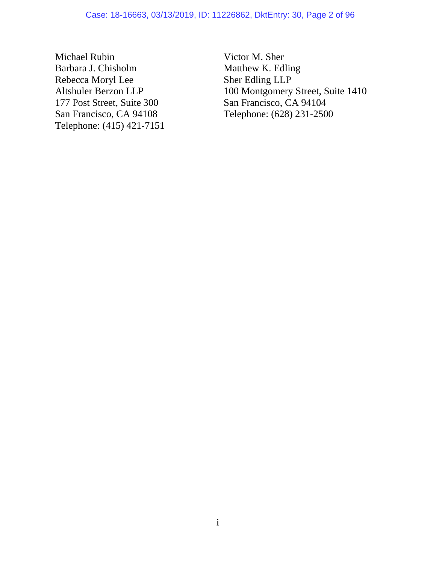### Case: 18-16663, 03/13/2019, ID: 11226862, DktEntry: 30, Page 2 of 96

Michael Rubin Barbara J. Chisholm Rebecca Moryl Lee Altshuler Berzon LLP 177 Post Street, Suite 300 San Francisco, CA 94108 Telephone: (415) 421-7151 Victor M. Sher Matthew K. Edling Sher Edling LLP 100 Montgomery Street, Suite 1410 San Francisco, CA 94104 Telephone: (628) 231-2500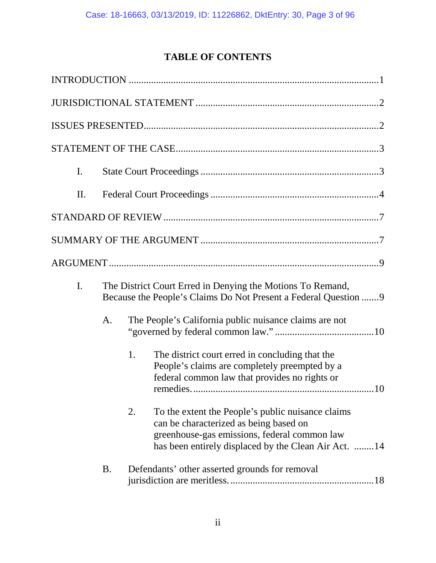# **TABLE OF CONTENTS**

| I.  |           |                                                                                                                                                                                                           |
|-----|-----------|-----------------------------------------------------------------------------------------------------------------------------------------------------------------------------------------------------------|
| II. |           |                                                                                                                                                                                                           |
|     |           |                                                                                                                                                                                                           |
|     |           |                                                                                                                                                                                                           |
|     |           |                                                                                                                                                                                                           |
| I.  |           | The District Court Erred in Denying the Motions To Remand,<br>Because the People's Claims Do Not Present a Federal Question 9                                                                             |
|     | A.        | The People's California public nuisance claims are not                                                                                                                                                    |
|     |           | 1.<br>The district court erred in concluding that the<br>People's claims are completely preempted by a<br>federal common law that provides no rights or                                                   |
|     |           | 2.<br>To the extent the People's public nuisance claims<br>can be characterized as being based on<br>greenhouse-gas emissions, federal common law<br>has been entirely displaced by the Clean Air Act. 14 |
|     | <b>B.</b> | Defendants' other asserted grounds for removal                                                                                                                                                            |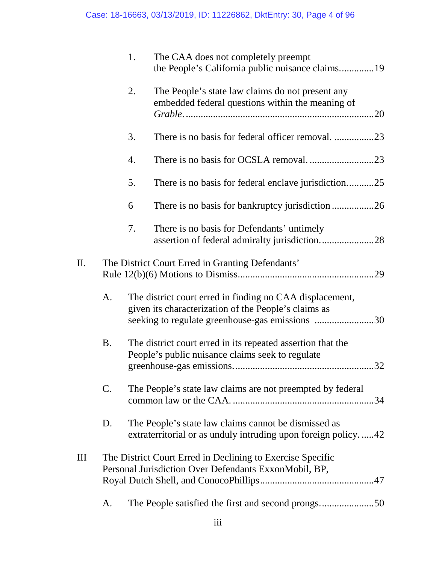|     |                | 1. | The CAA does not completely preempt<br>the People's California public nuisance claims19                                                                             |
|-----|----------------|----|---------------------------------------------------------------------------------------------------------------------------------------------------------------------|
|     |                | 2. | The People's state law claims do not present any<br>embedded federal questions within the meaning of                                                                |
|     |                | 3. |                                                                                                                                                                     |
|     |                | 4. |                                                                                                                                                                     |
|     |                | 5. | There is no basis for federal enclave jurisdiction25                                                                                                                |
|     |                | 6  | There is no basis for bankruptcy jurisdiction 26                                                                                                                    |
|     |                | 7. | There is no basis for Defendants' untimely<br>assertion of federal admiralty jurisdiction28                                                                         |
| II. |                |    | The District Court Erred in Granting Defendants'                                                                                                                    |
|     | A.             |    | The district court erred in finding no CAA displacement,<br>given its characterization of the People's claims as<br>seeking to regulate greenhouse-gas emissions 30 |
|     | <b>B.</b>      |    | The district court erred in its repeated assertion that the<br>People's public nuisance claims seek to regulate                                                     |
|     | $\mathbf{C}$ . |    | The People's state law claims are not preempted by federal                                                                                                          |
|     | D.             |    | The People's state law claims cannot be dismissed as<br>extraterritorial or as unduly intruding upon foreign policy42                                               |
| Ш   |                |    | The District Court Erred in Declining to Exercise Specific<br>Personal Jurisdiction Over Defendants ExxonMobil, BP,                                                 |
|     | A.             |    |                                                                                                                                                                     |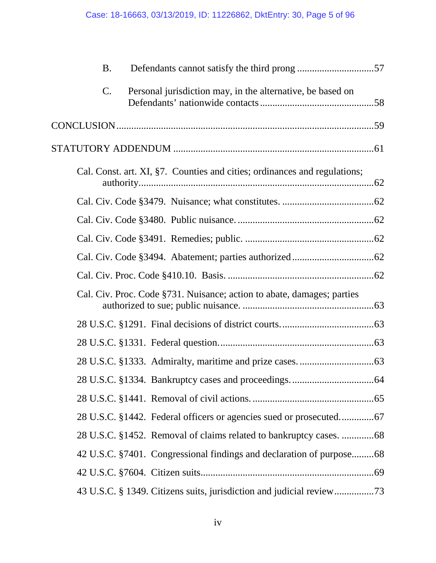| <b>B.</b>                                                                     |
|-------------------------------------------------------------------------------|
| $\mathcal{C}$ .<br>Personal jurisdiction may, in the alternative, be based on |
|                                                                               |
|                                                                               |
| Cal. Const. art. XI, §7. Counties and cities; ordinances and regulations;     |
|                                                                               |
|                                                                               |
|                                                                               |
|                                                                               |
|                                                                               |
| Cal. Civ. Proc. Code §731. Nuisance; action to abate, damages; parties        |
|                                                                               |
|                                                                               |
|                                                                               |
|                                                                               |
|                                                                               |
| 28 U.S.C. §1442. Federal officers or agencies sued or prosecuted67            |
| 28 U.S.C. §1452. Removal of claims related to bankruptcy cases. 68            |
| 42 U.S.C. §7401. Congressional findings and declaration of purpose68          |
|                                                                               |
| 43 U.S.C. § 1349. Citizens suits, jurisdiction and judicial review            |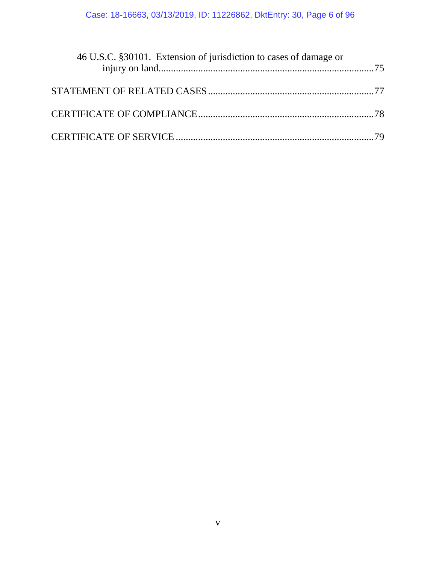| 46 U.S.C. §30101. Extension of jurisdiction to cases of damage or |  |
|-------------------------------------------------------------------|--|
|                                                                   |  |
|                                                                   |  |
|                                                                   |  |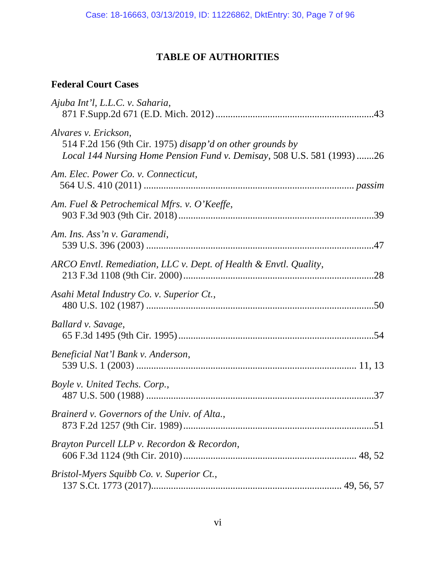## **TABLE OF AUTHORITIES**

## **Federal Court Cases**

| Ajuba Int'l, L.L.C. v. Saharia,                                                                                                                             |  |
|-------------------------------------------------------------------------------------------------------------------------------------------------------------|--|
| Alvares v. Erickson,<br>514 F.2d 156 (9th Cir. 1975) disapp'd on other grounds by<br>Local 144 Nursing Home Pension Fund v. Demisay, 508 U.S. 581 (1993) 26 |  |
| Am. Elec. Power Co. v. Connecticut,                                                                                                                         |  |
| Am. Fuel & Petrochemical Mfrs. v. O'Keeffe,                                                                                                                 |  |
| Am. Ins. Ass'n v. Garamendi,                                                                                                                                |  |
| ARCO Envtl. Remediation, LLC v. Dept. of Health & Envtl. Quality,                                                                                           |  |
| Asahi Metal Industry Co. v. Superior Ct.,                                                                                                                   |  |
| Ballard v. Savage,                                                                                                                                          |  |
| Beneficial Nat'l Bank v. Anderson,                                                                                                                          |  |
| Boyle v. United Techs. Corp.,                                                                                                                               |  |
| Brainerd v. Governors of the Univ. of Alta.,                                                                                                                |  |
| Brayton Purcell LLP v. Recordon & Recordon,                                                                                                                 |  |
| Bristol-Myers Squibb Co. v. Superior Ct.,                                                                                                                   |  |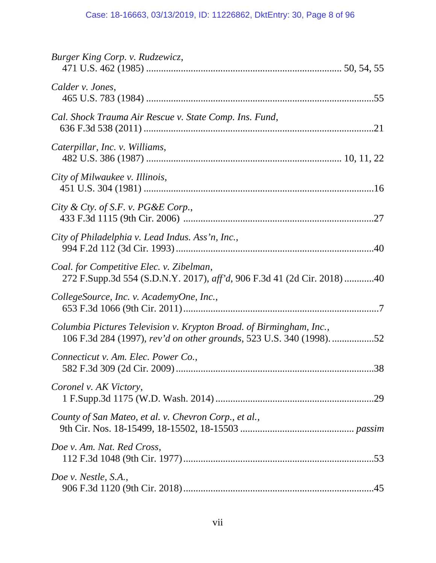| Burger King Corp. v. Rudzewicz,                                                                                                             |
|---------------------------------------------------------------------------------------------------------------------------------------------|
| Calder v. Jones,                                                                                                                            |
| Cal. Shock Trauma Air Rescue v. State Comp. Ins. Fund,                                                                                      |
| Caterpillar, Inc. v. Williams,                                                                                                              |
| City of Milwaukee v. Illinois,                                                                                                              |
| City & Cty. of S.F. v. $PG\&E$ Corp.,                                                                                                       |
| City of Philadelphia v. Lead Indus. Ass'n, Inc.,                                                                                            |
| Coal. for Competitive Elec. v. Zibelman,<br>272 F.Supp.3d 554 (S.D.N.Y. 2017), aff'd, 906 F.3d 41 (2d Cir. 2018) 40                         |
| CollegeSource, Inc. v. AcademyOne, Inc.,                                                                                                    |
| Columbia Pictures Television v. Krypton Broad. of Birmingham, Inc.,<br>106 F.3d 284 (1997), rev'd on other grounds, 523 U.S. 340 (1998). 52 |
| Connecticut v. Am. Elec. Power Co.,<br>.38                                                                                                  |
| Coronel v. AK Victory,                                                                                                                      |
| County of San Mateo, et al. v. Chevron Corp., et al.,                                                                                       |
| Doe v. Am. Nat. Red Cross,                                                                                                                  |
| Doe v. Nestle, S.A.,                                                                                                                        |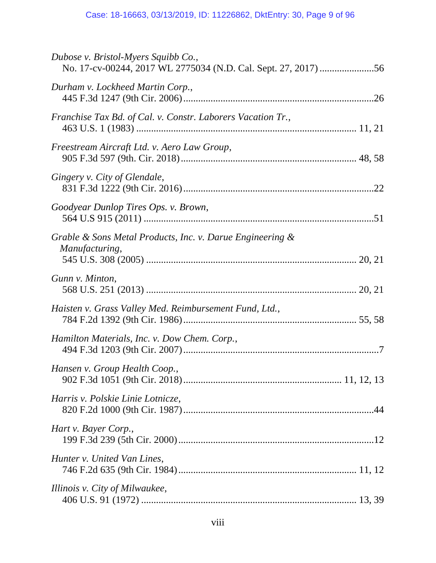| Dubose v. Bristol-Myers Squibb Co.,                                         |
|-----------------------------------------------------------------------------|
| Durham v. Lockheed Martin Corp.,                                            |
| Franchise Tax Bd. of Cal. v. Constr. Laborers Vacation Tr.,                 |
| Freestream Aircraft Ltd. v. Aero Law Group,                                 |
| Gingery v. City of Glendale,                                                |
| Goodyear Dunlop Tires Ops. v. Brown,                                        |
| Grable & Sons Metal Products, Inc. v. Darue Engineering &<br>Manufacturing, |
| Gunn v. Minton,                                                             |
| Haisten v. Grass Valley Med. Reimbursement Fund, Ltd.,                      |
| Hamilton Materials, Inc. v. Dow Chem. Corp.,                                |
| Hansen v. Group Health Coop.,                                               |
| Harris v. Polskie Linie Lotnicze,                                           |
| Hart v. Bayer Corp.,                                                        |
| Hunter v. United Van Lines,                                                 |
| Illinois v. City of Milwaukee,                                              |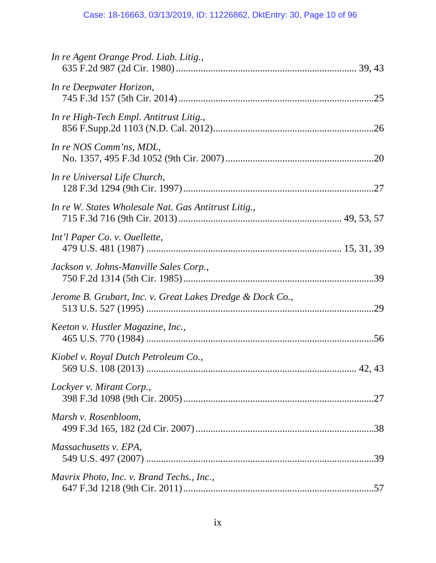| In re Agent Orange Prod. Liab. Litig.,                    |  |
|-----------------------------------------------------------|--|
| In re Deepwater Horizon,                                  |  |
| In re High-Tech Empl. Antitrust Litig.,                   |  |
| In re NOS Comm'ns, MDL,                                   |  |
| In re Universal Life Church,                              |  |
| In re W. States Wholesale Nat. Gas Antitrust Litig.,      |  |
| Int'l Paper Co. v. Ouellette,                             |  |
| Jackson v. Johns-Manville Sales Corp.,                    |  |
| Jerome B. Grubart, Inc. v. Great Lakes Dredge & Dock Co., |  |
| Keeton v. Hustler Magazine, Inc.,                         |  |
| Kiobel v. Royal Dutch Petroleum Co.,<br>42, 43            |  |
| Lockyer v. Mirant Corp.,                                  |  |
| Marsh v. Rosenbloom,                                      |  |
| Massachusetts v. EPA,                                     |  |
| Mavrix Photo, Inc. v. Brand Techs., Inc.,                 |  |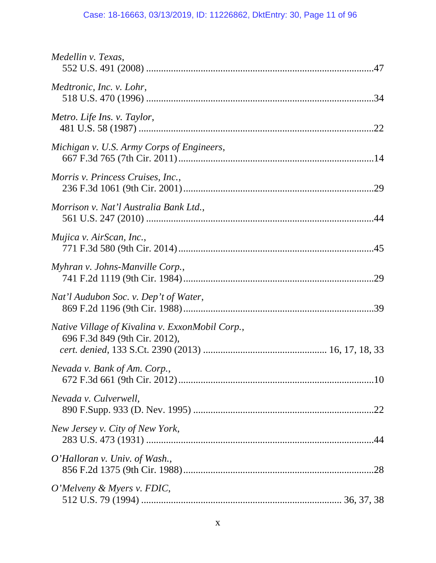## Case: 18-16663, 03/13/2019, ID: 11226862, DktEntry: 30, Page 11 of 96

| Medellin v. Texas,                                                               |
|----------------------------------------------------------------------------------|
| Medtronic, Inc. v. Lohr,                                                         |
| Metro. Life Ins. v. Taylor,                                                      |
| Michigan v. U.S. Army Corps of Engineers,                                        |
| Morris v. Princess Cruises, Inc.,                                                |
| Morrison v. Nat'l Australia Bank Ltd.,                                           |
| Mujica v. AirScan, Inc.,                                                         |
| Myhran v. Johns-Manville Corp.,                                                  |
| Nat'l Audubon Soc. v. Dep't of Water,                                            |
| Native Village of Kivalina v. ExxonMobil Corp.,<br>696 F.3d 849 (9th Cir. 2012), |
| Nevada v. Bank of Am. Corp.,                                                     |
| Nevada v. Culverwell,                                                            |
| New Jersey v. City of New York,                                                  |
| O'Halloran v. Univ. of Wash.,                                                    |
| O'Melveny & Myers v. FDIC,                                                       |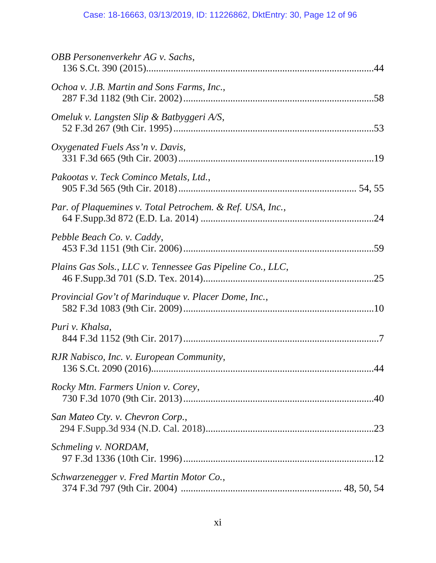| OBB Personenverkehr AG v. Sachs,                          |
|-----------------------------------------------------------|
| Ochoa v. J.B. Martin and Sons Farms, Inc.,                |
| Omeluk v. Langsten Slip & Batbyggeri A/S,                 |
| Oxygenated Fuels Ass'n v. Davis,                          |
| Pakootas v. Teck Cominco Metals, Ltd.,                    |
| Par. of Plaquemines v. Total Petrochem. & Ref. USA, Inc., |
| Pebble Beach Co. v. Caddy,                                |
| Plains Gas Sols., LLC v. Tennessee Gas Pipeline Co., LLC, |
| Provincial Gov't of Marinduque v. Placer Dome, Inc.,      |
| Puri v. Khalsa,                                           |
| RJR Nabisco, Inc. v. European Community,<br>.44           |
| Rocky Mtn. Farmers Union v. Corey,                        |
| San Mateo Cty. v. Chevron Corp.,                          |
| Schmeling v. NORDAM,                                      |
| Schwarzenegger v. Fred Martin Motor Co.,                  |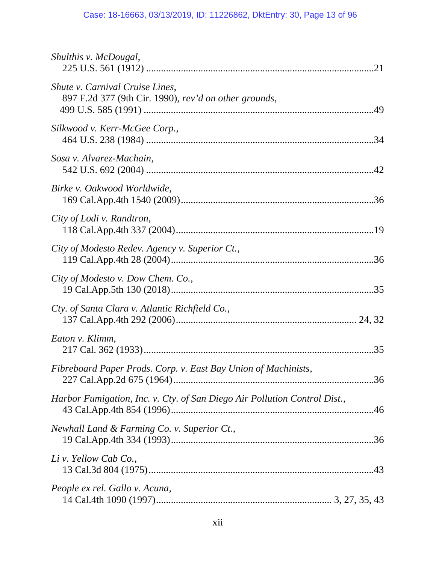| Shulthis v. McDougal,                                                                    |
|------------------------------------------------------------------------------------------|
| Shute v. Carnival Cruise Lines,<br>897 F.2d 377 (9th Cir. 1990), rev'd on other grounds, |
| Silkwood v. Kerr-McGee Corp.,                                                            |
| Sosa v. Alvarez-Machain,                                                                 |
| Birke v. Oakwood Worldwide,                                                              |
| City of Lodi v. Randtron,                                                                |
| City of Modesto Redev. Agency v. Superior Ct.,                                           |
| City of Modesto v. Dow Chem. Co.,                                                        |
| Cty. of Santa Clara v. Atlantic Richfield Co.,                                           |
| Eaton v. Klimm,                                                                          |
| Fibreboard Paper Prods. Corp. v. East Bay Union of Machinists,                           |
| Harbor Fumigation, Inc. v. Cty. of San Diego Air Pollution Control Dist.,                |
| Newhall Land & Farming Co. v. Superior Ct.,                                              |
| Li v. Yellow Cab Co.,                                                                    |
| People ex rel. Gallo v. Acuna,                                                           |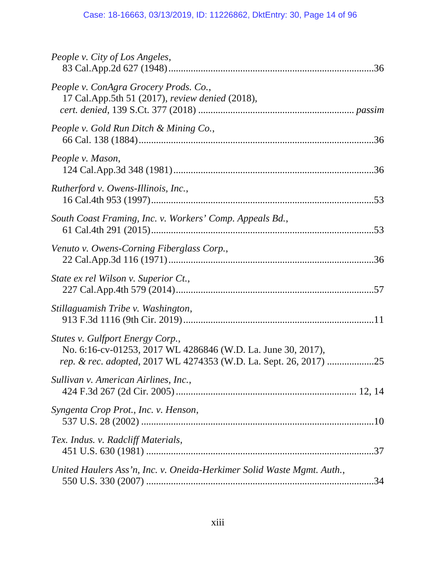| People v. City of Los Angeles,                                                                                                                                        |
|-----------------------------------------------------------------------------------------------------------------------------------------------------------------------|
| People v. ConAgra Grocery Prods. Co.,<br>17 Cal.App.5th 51 (2017), review denied (2018),                                                                              |
| People v. Gold Run Ditch & Mining Co.,                                                                                                                                |
| People v. Mason,                                                                                                                                                      |
| Rutherford v. Owens-Illinois, Inc.,                                                                                                                                   |
| South Coast Framing, Inc. v. Workers' Comp. Appeals Bd.,                                                                                                              |
| Venuto v. Owens-Corning Fiberglass Corp.,                                                                                                                             |
| State ex rel Wilson v. Superior Ct.,                                                                                                                                  |
| Stillaguamish Tribe v. Washington,                                                                                                                                    |
| Stutes v. Gulfport Energy Corp.,<br>No. 6:16-cv-01253, 2017 WL 4286846 (W.D. La. June 30, 2017),<br>rep. & rec. adopted, 2017 WL 4274353 (W.D. La. Sept. 26, 2017) 25 |
| Sullivan v. American Airlines, Inc.,                                                                                                                                  |
| Syngenta Crop Prot., Inc. v. Henson,                                                                                                                                  |
| Tex. Indus. v. Radcliff Materials,                                                                                                                                    |
| United Haulers Ass'n, Inc. v. Oneida-Herkimer Solid Waste Mgmt. Auth.,                                                                                                |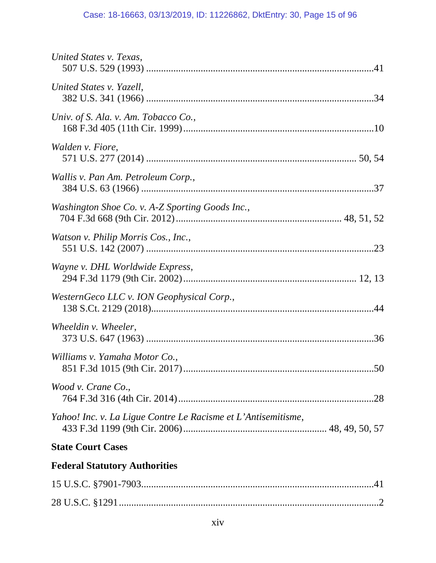| United States v. Texas,                                              |
|----------------------------------------------------------------------|
| United States v. Yazell,                                             |
| Univ. of S. Ala. v. Am. Tobacco Co.,                                 |
| Walden v. Fiore,                                                     |
| Wallis v. Pan Am. Petroleum Corp.,                                   |
| Washington Shoe Co. v. A-Z Sporting Goods Inc.,                      |
| Watson v. Philip Morris Cos., Inc.,                                  |
| Wayne v. DHL Worldwide Express,                                      |
| WesternGeco LLC v. ION Geophysical Corp.,                            |
| Wheeldin v. Wheeler,                                                 |
| Williams v. Yamaha Motor Co.,<br>50<br>851 F.3d 1015 (9th Cir. 2017) |
| Wood v. Crane Co.,                                                   |
| Yahoo! Inc. v. La Ligue Contre Le Racisme et L'Antisemitisme,        |
| <b>State Court Cases</b>                                             |
| <b>Federal Statutory Authorities</b>                                 |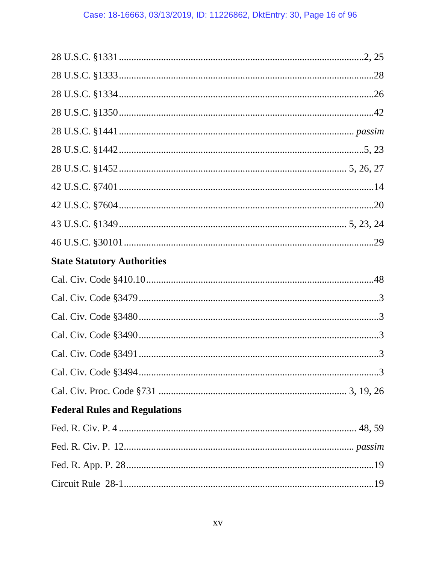| <b>State Statutory Authorities</b>   |  |
|--------------------------------------|--|
|                                      |  |
|                                      |  |
|                                      |  |
|                                      |  |
|                                      |  |
|                                      |  |
|                                      |  |
| <b>Federal Rules and Regulations</b> |  |
|                                      |  |
|                                      |  |
|                                      |  |
|                                      |  |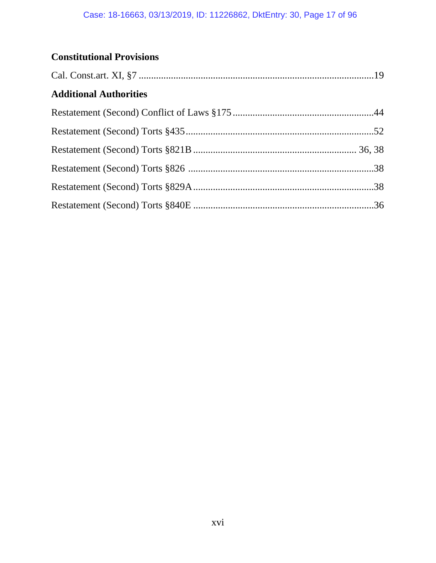# **Constitutional Provisions**

| <b>Additional Authorities</b> |  |
|-------------------------------|--|
|                               |  |
|                               |  |
|                               |  |
|                               |  |
|                               |  |
|                               |  |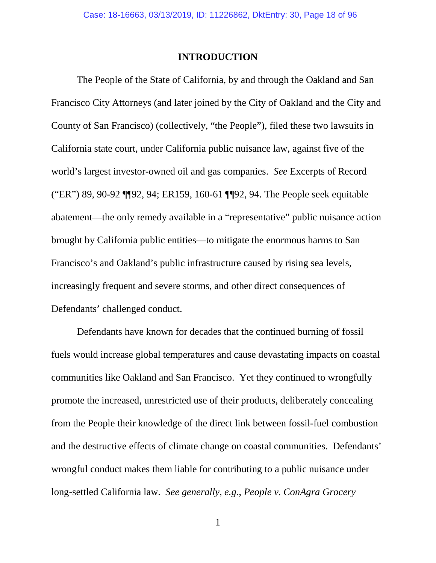### **INTRODUCTION**

The People of the State of California, by and through the Oakland and San Francisco City Attorneys (and later joined by the City of Oakland and the City and County of San Francisco) (collectively, "the People"), filed these two lawsuits in California state court, under California public nuisance law, against five of the world's largest investor-owned oil and gas companies. *See* Excerpts of Record ("ER") 89, 90-92 ¶¶92, 94; ER159, 160-61 ¶¶92, 94. The People seek equitable abatement—the only remedy available in a "representative" public nuisance action brought by California public entities—to mitigate the enormous harms to San Francisco's and Oakland's public infrastructure caused by rising sea levels, increasingly frequent and severe storms, and other direct consequences of Defendants' challenged conduct.

Defendants have known for decades that the continued burning of fossil fuels would increase global temperatures and cause devastating impacts on coastal communities like Oakland and San Francisco. Yet they continued to wrongfully promote the increased, unrestricted use of their products, deliberately concealing from the People their knowledge of the direct link between fossil-fuel combustion and the destructive effects of climate change on coastal communities. Defendants' wrongful conduct makes them liable for contributing to a public nuisance under long-settled California law. *See generally, e.g.*, *People v. ConAgra Grocery*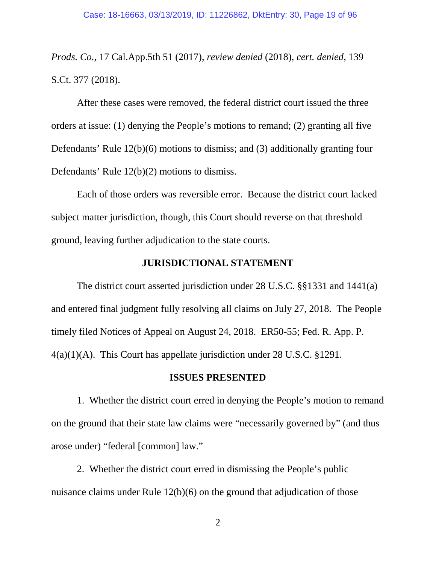*Prods. Co.*, 17 Cal.App.5th 51 (2017), *review denied* (2018), *cert. denied*, 139 S.Ct. 377 (2018).

After these cases were removed, the federal district court issued the three orders at issue: (1) denying the People's motions to remand; (2) granting all five Defendants' Rule 12(b)(6) motions to dismiss; and (3) additionally granting four Defendants' Rule 12(b)(2) motions to dismiss.

Each of those orders was reversible error. Because the district court lacked subject matter jurisdiction, though, this Court should reverse on that threshold ground, leaving further adjudication to the state courts.

## **JURISDICTIONAL STATEMENT**

The district court asserted jurisdiction under 28 U.S.C. §§1331 and 1441(a) and entered final judgment fully resolving all claims on July 27, 2018. The People timely filed Notices of Appeal on August 24, 2018. ER50-55; Fed. R. App. P. 4(a)(1)(A). This Court has appellate jurisdiction under 28 U.S.C. §1291.

## **ISSUES PRESENTED**

1. Whether the district court erred in denying the People's motion to remand on the ground that their state law claims were "necessarily governed by" (and thus arose under) "federal [common] law."

2. Whether the district court erred in dismissing the People's public nuisance claims under Rule 12(b)(6) on the ground that adjudication of those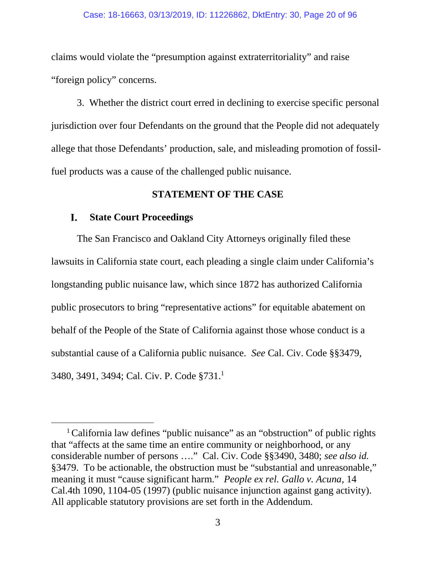claims would violate the "presumption against extraterritoriality" and raise "foreign policy" concerns.

3. Whether the district court erred in declining to exercise specific personal jurisdiction over four Defendants on the ground that the People did not adequately allege that those Defendants' production, sale, and misleading promotion of fossilfuel products was a cause of the challenged public nuisance.

## **STATEMENT OF THE CASE**

#### L. **State Court Proceedings**

The San Francisco and Oakland City Attorneys originally filed these lawsuits in California state court, each pleading a single claim under California's longstanding public nuisance law, which since 1872 has authorized California public prosecutors to bring "representative actions" for equitable abatement on behalf of the People of the State of California against those whose conduct is a substantial cause of a California public nuisance. *See* Cal. Civ. Code §§3479, 3480, 3491, 3494; Cal. Civ. P. Code §731.<sup>1</sup>

<sup>&</sup>lt;sup>1</sup> California law defines "public nuisance" as an "obstruction" of public rights that "affects at the same time an entire community or neighborhood, or any considerable number of persons …." Cal. Civ. Code §§3490, 3480; *see also id.* §3479. To be actionable, the obstruction must be "substantial and unreasonable," meaning it must "cause significant harm." *People ex rel. Gallo v. Acuna*, 14 Cal.4th 1090, 1104-05 (1997) (public nuisance injunction against gang activity). All applicable statutory provisions are set forth in the Addendum.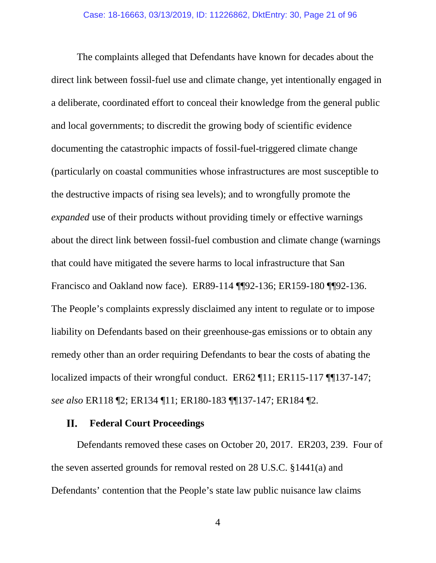The complaints alleged that Defendants have known for decades about the direct link between fossil-fuel use and climate change, yet intentionally engaged in a deliberate, coordinated effort to conceal their knowledge from the general public and local governments; to discredit the growing body of scientific evidence documenting the catastrophic impacts of fossil-fuel-triggered climate change (particularly on coastal communities whose infrastructures are most susceptible to the destructive impacts of rising sea levels); and to wrongfully promote the *expanded* use of their products without providing timely or effective warnings about the direct link between fossil-fuel combustion and climate change (warnings that could have mitigated the severe harms to local infrastructure that San Francisco and Oakland now face). ER89-114 ¶¶92-136; ER159-180 ¶¶92-136. The People's complaints expressly disclaimed any intent to regulate or to impose liability on Defendants based on their greenhouse-gas emissions or to obtain any remedy other than an order requiring Defendants to bear the costs of abating the localized impacts of their wrongful conduct. ER62 ¶11; ER115-117 ¶¶137-147; *see also* ER118 ¶2; ER134 ¶11; ER180-183 ¶¶137-147; ER184 ¶2.

#### **II. Federal Court Proceedings**

Defendants removed these cases on October 20, 2017. ER203, 239. Four of the seven asserted grounds for removal rested on 28 U.S.C. §1441(a) and Defendants' contention that the People's state law public nuisance law claims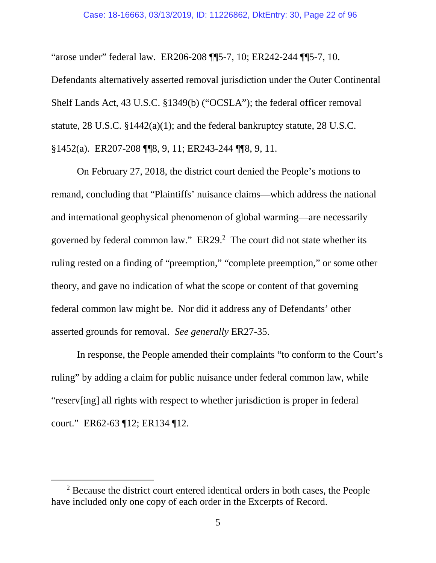### Case: 18-16663, 03/13/2019, ID: 11226862, DktEntry: 30, Page 22 of 96

"arose under" federal law. ER206-208 ¶¶5-7, 10; ER242-244 ¶¶5-7, 10. Defendants alternatively asserted removal jurisdiction under the Outer Continental Shelf Lands Act, 43 U.S.C. §1349(b) ("OCSLA"); the federal officer removal statute, 28 U.S.C. §1442(a)(1); and the federal bankruptcy statute, 28 U.S.C. §1452(a). ER207-208 ¶¶8, 9, 11; ER243-244 ¶¶8, 9, 11.

On February 27, 2018, the district court denied the People's motions to remand, concluding that "Plaintiffs' nuisance claims—which address the national and international geophysical phenomenon of global warming—are necessarily governed by federal common law."  $ER29<sup>2</sup>$  The court did not state whether its ruling rested on a finding of "preemption," "complete preemption," or some other theory, and gave no indication of what the scope or content of that governing federal common law might be. Nor did it address any of Defendants' other asserted grounds for removal. *See generally* ER27-35.

In response, the People amended their complaints "to conform to the Court's ruling" by adding a claim for public nuisance under federal common law, while "reserv[ing] all rights with respect to whether jurisdiction is proper in federal court." ER62-63 ¶12; ER134 ¶12.

<sup>&</sup>lt;sup>2</sup> Because the district court entered identical orders in both cases, the People have included only one copy of each order in the Excerpts of Record.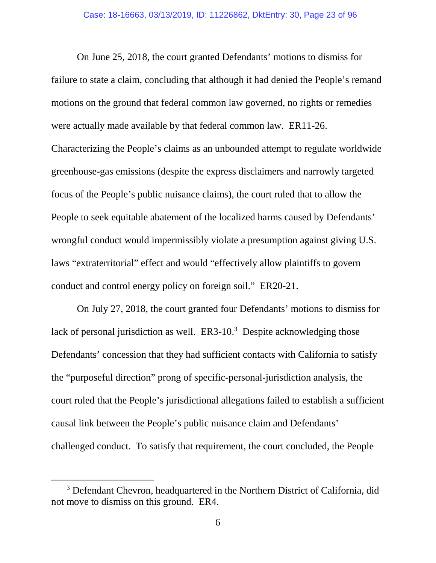On June 25, 2018, the court granted Defendants' motions to dismiss for failure to state a claim, concluding that although it had denied the People's remand motions on the ground that federal common law governed, no rights or remedies were actually made available by that federal common law. ER11-26. Characterizing the People's claims as an unbounded attempt to regulate worldwide greenhouse-gas emissions (despite the express disclaimers and narrowly targeted focus of the People's public nuisance claims), the court ruled that to allow the People to seek equitable abatement of the localized harms caused by Defendants' wrongful conduct would impermissibly violate a presumption against giving U.S. laws "extraterritorial" effect and would "effectively allow plaintiffs to govern conduct and control energy policy on foreign soil." ER20-21.

On July 27, 2018, the court granted four Defendants' motions to dismiss for lack of personal jurisdiction as well. ER3-10.<sup>3</sup> Despite acknowledging those Defendants' concession that they had sufficient contacts with California to satisfy the "purposeful direction" prong of specific-personal-jurisdiction analysis, the court ruled that the People's jurisdictional allegations failed to establish a sufficient causal link between the People's public nuisance claim and Defendants' challenged conduct. To satisfy that requirement, the court concluded, the People

<sup>&</sup>lt;sup>3</sup> Defendant Chevron, headquartered in the Northern District of California, did not move to dismiss on this ground. ER4.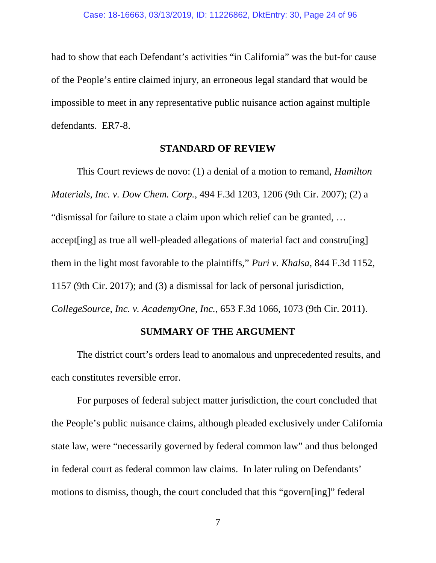had to show that each Defendant's activities "in California" was the but-for cause of the People's entire claimed injury, an erroneous legal standard that would be impossible to meet in any representative public nuisance action against multiple defendants. ER7-8.

### **STANDARD OF REVIEW**

This Court reviews de novo: (1) a denial of a motion to remand, *Hamilton Materials, Inc. v. Dow Chem. Corp.*, 494 F.3d 1203, 1206 (9th Cir. 2007); (2) a "dismissal for failure to state a claim upon which relief can be granted, … accept[ing] as true all well-pleaded allegations of material fact and constru[ing] them in the light most favorable to the plaintiffs," *Puri v. Khalsa*, 844 F.3d 1152, 1157 (9th Cir. 2017); and (3) a dismissal for lack of personal jurisdiction, *CollegeSource, Inc. v. AcademyOne, Inc.*, 653 F.3d 1066, 1073 (9th Cir. 2011).

## **SUMMARY OF THE ARGUMENT**

The district court's orders lead to anomalous and unprecedented results, and each constitutes reversible error.

For purposes of federal subject matter jurisdiction, the court concluded that the People's public nuisance claims, although pleaded exclusively under California state law, were "necessarily governed by federal common law" and thus belonged in federal court as federal common law claims. In later ruling on Defendants' motions to dismiss, though, the court concluded that this "govern[ing]" federal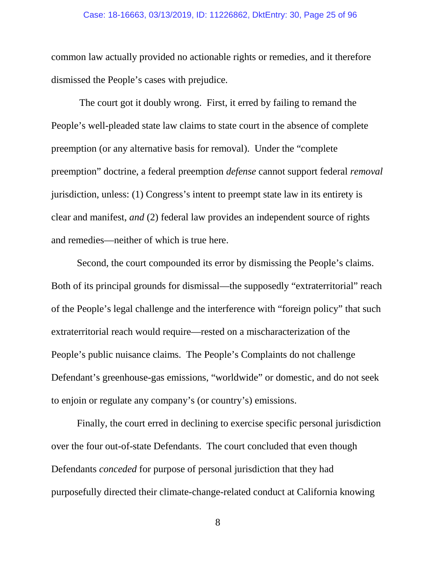### Case: 18-16663, 03/13/2019, ID: 11226862, DktEntry: 30, Page 25 of 96

common law actually provided no actionable rights or remedies, and it therefore dismissed the People's cases with prejudice.

The court got it doubly wrong. First, it erred by failing to remand the People's well-pleaded state law claims to state court in the absence of complete preemption (or any alternative basis for removal). Under the "complete preemption" doctrine, a federal preemption *defense* cannot support federal *removal* jurisdiction, unless: (1) Congress's intent to preempt state law in its entirety is clear and manifest, *and* (2) federal law provides an independent source of rights and remedies—neither of which is true here.

Second, the court compounded its error by dismissing the People's claims. Both of its principal grounds for dismissal—the supposedly "extraterritorial" reach of the People's legal challenge and the interference with "foreign policy" that such extraterritorial reach would require—rested on a mischaracterization of the People's public nuisance claims. The People's Complaints do not challenge Defendant's greenhouse-gas emissions, "worldwide" or domestic, and do not seek to enjoin or regulate any company's (or country's) emissions.

Finally, the court erred in declining to exercise specific personal jurisdiction over the four out-of-state Defendants. The court concluded that even though Defendants *conceded* for purpose of personal jurisdiction that they had purposefully directed their climate-change-related conduct at California knowing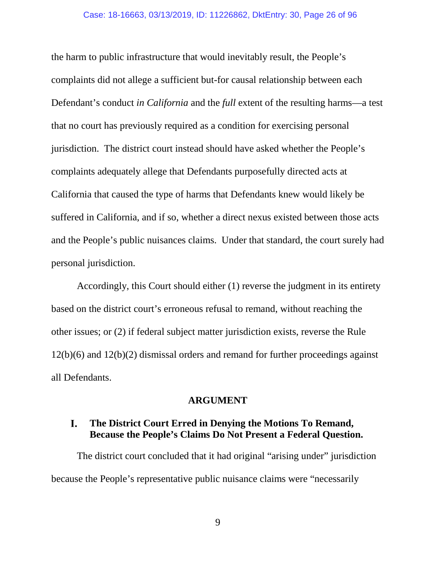the harm to public infrastructure that would inevitably result, the People's complaints did not allege a sufficient but-for causal relationship between each Defendant's conduct *in California* and the *full* extent of the resulting harms—a test that no court has previously required as a condition for exercising personal jurisdiction. The district court instead should have asked whether the People's complaints adequately allege that Defendants purposefully directed acts at California that caused the type of harms that Defendants knew would likely be suffered in California, and if so, whether a direct nexus existed between those acts and the People's public nuisances claims. Under that standard, the court surely had personal jurisdiction.

Accordingly, this Court should either (1) reverse the judgment in its entirety based on the district court's erroneous refusal to remand, without reaching the other issues; or (2) if federal subject matter jurisdiction exists, reverse the Rule 12(b)(6) and 12(b)(2) dismissal orders and remand for further proceedings against all Defendants.

### **ARGUMENT**

#### I. **The District Court Erred in Denying the Motions To Remand, Because the People's Claims Do Not Present a Federal Question.**

The district court concluded that it had original "arising under" jurisdiction because the People's representative public nuisance claims were "necessarily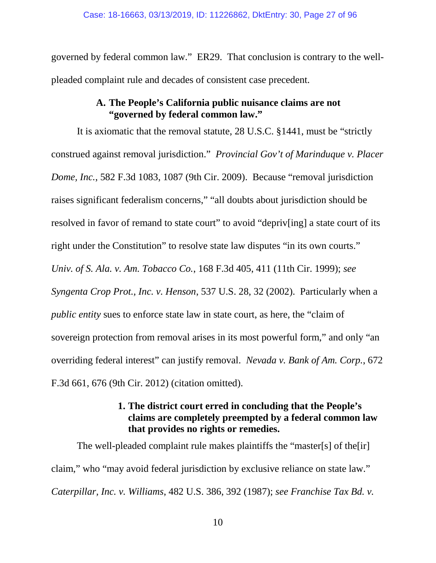governed by federal common law." ER29. That conclusion is contrary to the wellpleaded complaint rule and decades of consistent case precedent.

## **A. The People's California public nuisance claims are not "governed by federal common law."**

It is axiomatic that the removal statute, 28 U.S.C. §1441, must be "strictly construed against removal jurisdiction." *Provincial Gov't of Marinduque v. Placer Dome, Inc.*, 582 F.3d 1083, 1087 (9th Cir. 2009). Because "removal jurisdiction raises significant federalism concerns," "all doubts about jurisdiction should be resolved in favor of remand to state court" to avoid "depriv[ing] a state court of its right under the Constitution" to resolve state law disputes "in its own courts." *Univ. of S. Ala. v. Am. Tobacco Co.*, 168 F.3d 405, 411 (11th Cir. 1999); *see Syngenta Crop Prot., Inc. v. Henson*, 537 U.S. 28, 32 (2002). Particularly when a *public entity* sues to enforce state law in state court, as here, the "claim of sovereign protection from removal arises in its most powerful form," and only "an overriding federal interest" can justify removal. *Nevada v. Bank of Am. Corp.*, 672 F.3d 661, 676 (9th Cir. 2012) (citation omitted).

## **1. The district court erred in concluding that the People's claims are completely preempted by a federal common law that provides no rights or remedies.**

The well-pleaded complaint rule makes plaintiffs the "master[s] of the[ir] claim," who "may avoid federal jurisdiction by exclusive reliance on state law." *Caterpillar, Inc. v. Williams*, 482 U.S. 386, 392 (1987); *see Franchise Tax Bd. v.*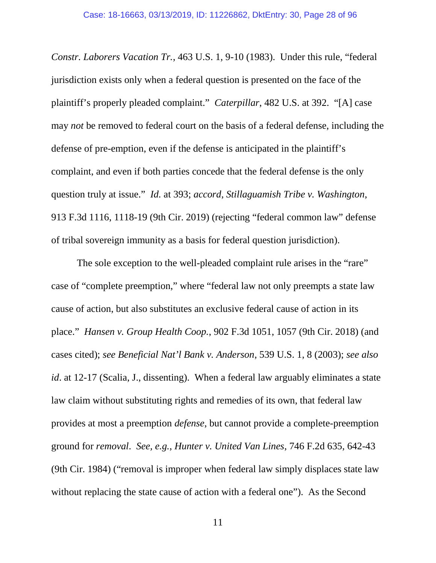*Constr. Laborers Vacation Tr.*, 463 U.S. 1, 9-10 (1983). Under this rule, "federal jurisdiction exists only when a federal question is presented on the face of the plaintiff's properly pleaded complaint." *Caterpillar*, 482 U.S. at 392. "[A] case may *not* be removed to federal court on the basis of a federal defense, including the defense of pre-emption, even if the defense is anticipated in the plaintiff's complaint, and even if both parties concede that the federal defense is the only question truly at issue." *Id.* at 393; *accord*, *Stillaguamish Tribe v. Washington*, 913 F.3d 1116, 1118-19 (9th Cir. 2019) (rejecting "federal common law" defense of tribal sovereign immunity as a basis for federal question jurisdiction).

The sole exception to the well-pleaded complaint rule arises in the "rare" case of "complete preemption," where "federal law not only preempts a state law cause of action, but also substitutes an exclusive federal cause of action in its place." *Hansen v. Group Health Coop.*, 902 F.3d 1051, 1057 (9th Cir. 2018) (and cases cited); *see Beneficial Nat'l Bank v. Anderson*, 539 U.S. 1, 8 (2003); *see also id*. at 12-17 (Scalia, J., dissenting). When a federal law arguably eliminates a state law claim without substituting rights and remedies of its own, that federal law provides at most a preemption *defense*, but cannot provide a complete-preemption ground for *removal*. *See, e.g.*, *Hunter v. United Van Lines*, 746 F.2d 635, 642-43 (9th Cir. 1984) ("removal is improper when federal law simply displaces state law without replacing the state cause of action with a federal one"). As the Second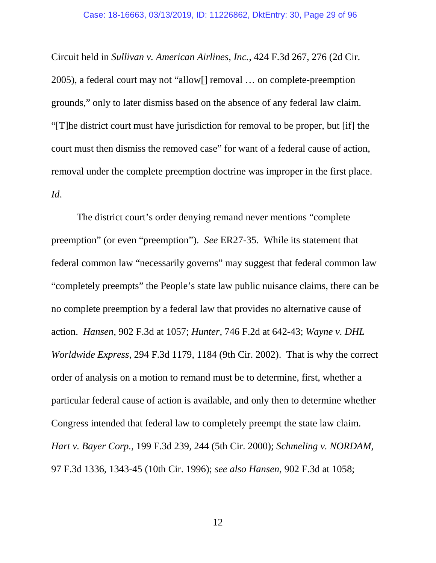Circuit held in *Sullivan v. American Airlines, Inc.*, 424 F.3d 267, 276 (2d Cir. 2005), a federal court may not "allow[] removal … on complete-preemption grounds," only to later dismiss based on the absence of any federal law claim. "[T]he district court must have jurisdiction for removal to be proper, but [if] the court must then dismiss the removed case" for want of a federal cause of action, removal under the complete preemption doctrine was improper in the first place. *Id*.

The district court's order denying remand never mentions "complete preemption" (or even "preemption"). *See* ER27-35. While its statement that federal common law "necessarily governs" may suggest that federal common law "completely preempts" the People's state law public nuisance claims, there can be no complete preemption by a federal law that provides no alternative cause of action. *Hansen*, 902 F.3d at 1057; *Hunter*, 746 F.2d at 642-43; *Wayne v. DHL Worldwide Express*, 294 F.3d 1179, 1184 (9th Cir. 2002). That is why the correct order of analysis on a motion to remand must be to determine, first, whether a particular federal cause of action is available, and only then to determine whether Congress intended that federal law to completely preempt the state law claim. *Hart v. Bayer Corp.*, 199 F.3d 239, 244 (5th Cir. 2000); *Schmeling v. NORDAM*, 97 F.3d 1336, 1343-45 (10th Cir. 1996); *see also Hansen*, 902 F.3d at 1058;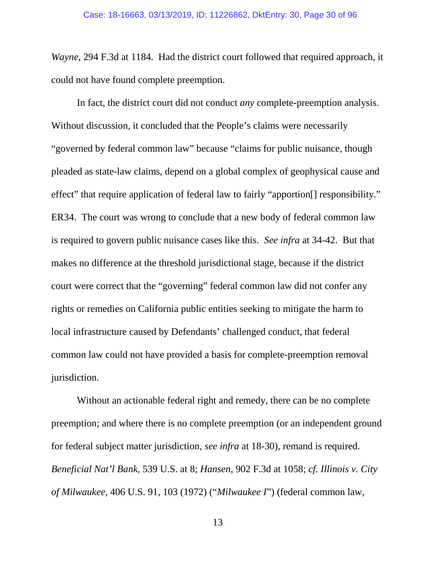*Wayne*, 294 F.3d at 1184. Had the district court followed that required approach, it could not have found complete preemption.

In fact, the district court did not conduct *any* complete-preemption analysis. Without discussion, it concluded that the People's claims were necessarily "governed by federal common law" because "claims for public nuisance, though pleaded as state-law claims, depend on a global complex of geophysical cause and effect" that require application of federal law to fairly "apportion[] responsibility." ER34. The court was wrong to conclude that a new body of federal common law is required to govern public nuisance cases like this. *See infra* at 34-42. But that makes no difference at the threshold jurisdictional stage, because if the district court were correct that the "governing" federal common law did not confer any rights or remedies on California public entities seeking to mitigate the harm to local infrastructure caused by Defendants' challenged conduct, that federal common law could not have provided a basis for complete-preemption removal jurisdiction.

Without an actionable federal right and remedy, there can be no complete preemption; and where there is no complete preemption (or an independent ground for federal subject matter jurisdiction, *see infra* at 18-30), remand is required. *Beneficial Nat'l Bank*, 539 U.S. at 8; *Hansen*, 902 F.3d at 1058; *cf. Illinois v. City of Milwaukee*, 406 U.S. 91, 103 (1972) ("*Milwaukee I*") (federal common law,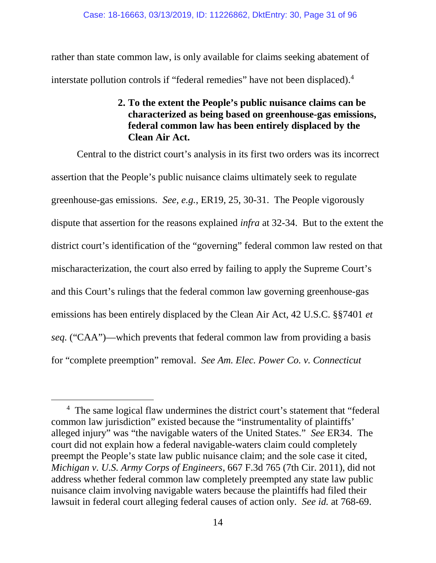rather than state common law, is only available for claims seeking abatement of interstate pollution controls if "federal remedies" have not been displaced).<sup>4</sup>

## **2. To the extent the People's public nuisance claims can be characterized as being based on greenhouse-gas emissions, federal common law has been entirely displaced by the Clean Air Act.**

Central to the district court's analysis in its first two orders was its incorrect assertion that the People's public nuisance claims ultimately seek to regulate greenhouse-gas emissions. *See, e.g.*, ER19, 25, 30-31. The People vigorously dispute that assertion for the reasons explained *infra* at 32-34. But to the extent the district court's identification of the "governing" federal common law rested on that mischaracterization, the court also erred by failing to apply the Supreme Court's and this Court's rulings that the federal common law governing greenhouse-gas emissions has been entirely displaced by the Clean Air Act, 42 U.S.C. §§7401 *et seq.* ("CAA")—which prevents that federal common law from providing a basis for "complete preemption" removal. *See Am. Elec. Power Co. v. Connecticut*

<sup>4</sup> The same logical flaw undermines the district court's statement that "federal common law jurisdiction" existed because the "instrumentality of plaintiffs' alleged injury" was "the navigable waters of the United States." *See* ER34. The court did not explain how a federal navigable-waters claim could completely preempt the People's state law public nuisance claim; and the sole case it cited, *Michigan v. U.S. Army Corps of Engineers*, 667 F.3d 765 (7th Cir. 2011), did not address whether federal common law completely preempted any state law public nuisance claim involving navigable waters because the plaintiffs had filed their lawsuit in federal court alleging federal causes of action only. *See id.* at 768-69.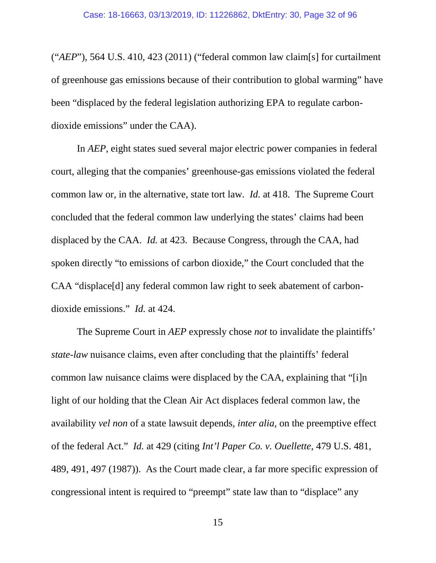("*AEP*"), 564 U.S. 410, 423 (2011) ("federal common law claim[s] for curtailment of greenhouse gas emissions because of their contribution to global warming" have been "displaced by the federal legislation authorizing EPA to regulate carbondioxide emissions" under the CAA).

In *AEP*, eight states sued several major electric power companies in federal court, alleging that the companies' greenhouse-gas emissions violated the federal common law or, in the alternative, state tort law. *Id.* at 418. The Supreme Court concluded that the federal common law underlying the states' claims had been displaced by the CAA. *Id.* at 423. Because Congress, through the CAA, had spoken directly "to emissions of carbon dioxide," the Court concluded that the CAA "displace[d] any federal common law right to seek abatement of carbondioxide emissions." *Id.* at 424.

The Supreme Court in *AEP* expressly chose *not* to invalidate the plaintiffs' *state-law* nuisance claims, even after concluding that the plaintiffs' federal common law nuisance claims were displaced by the CAA, explaining that "[i]n light of our holding that the Clean Air Act displaces federal common law, the availability *vel non* of a state lawsuit depends, *inter alia*, on the preemptive effect of the federal Act." *Id.* at 429 (citing *Int'l Paper Co. v. Ouellette*, 479 U.S. 481, 489, 491, 497 (1987)). As the Court made clear, a far more specific expression of congressional intent is required to "preempt" state law than to "displace" any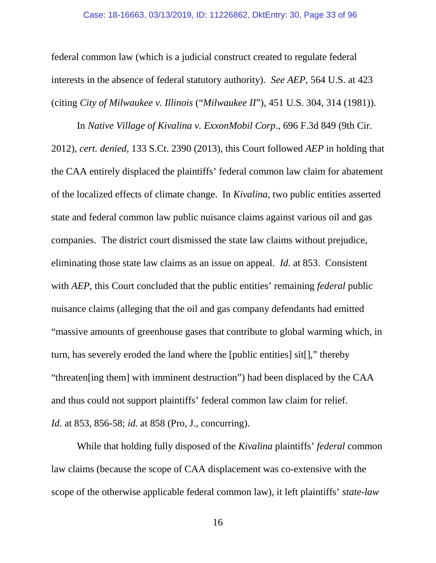federal common law (which is a judicial construct created to regulate federal interests in the absence of federal statutory authority). *See AEP*, 564 U.S. at 423 (citing *City of Milwaukee v. Illinois* ("*Milwaukee II*"), 451 U.S. 304, 314 (1981)).

In *Native Village of Kivalina v. ExxonMobil Corp*., 696 F.3d 849 (9th Cir. 2012), *cert. denied*, 133 S.Ct. 2390 (2013), this Court followed *AEP* in holding that the CAA entirely displaced the plaintiffs' federal common law claim for abatement of the localized effects of climate change. In *Kivalina*, two public entities asserted state and federal common law public nuisance claims against various oil and gas companies. The district court dismissed the state law claims without prejudice, eliminating those state law claims as an issue on appeal. *Id.* at 853. Consistent with *AEP*, this Court concluded that the public entities' remaining *federal* public nuisance claims (alleging that the oil and gas company defendants had emitted "massive amounts of greenhouse gases that contribute to global warming which, in turn, has severely eroded the land where the [public entities] sit[]," thereby "threaten[ing them] with imminent destruction") had been displaced by the CAA and thus could not support plaintiffs' federal common law claim for relief. *Id.* at 853, 856-58; *id.* at 858 (Pro, J., concurring).

While that holding fully disposed of the *Kivalina* plaintiffs' *federal* common law claims (because the scope of CAA displacement was co-extensive with the scope of the otherwise applicable federal common law), it left plaintiffs' *state-law*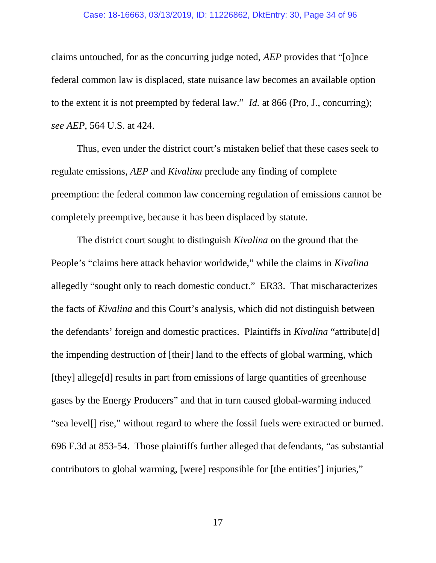### Case: 18-16663, 03/13/2019, ID: 11226862, DktEntry: 30, Page 34 of 96

claims untouched, for as the concurring judge noted, *AEP* provides that "[o]nce federal common law is displaced, state nuisance law becomes an available option to the extent it is not preempted by federal law." *Id.* at 866 (Pro, J., concurring); *see AEP*, 564 U.S. at 424.

Thus, even under the district court's mistaken belief that these cases seek to regulate emissions, *AEP* and *Kivalina* preclude any finding of complete preemption: the federal common law concerning regulation of emissions cannot be completely preemptive, because it has been displaced by statute.

The district court sought to distinguish *Kivalina* on the ground that the People's "claims here attack behavior worldwide," while the claims in *Kivalina* allegedly "sought only to reach domestic conduct." ER33. That mischaracterizes the facts of *Kivalina* and this Court's analysis, which did not distinguish between the defendants' foreign and domestic practices. Plaintiffs in *Kivalina* "attribute[d] the impending destruction of [their] land to the effects of global warming, which [they] allege[d] results in part from emissions of large quantities of greenhouse gases by the Energy Producers" and that in turn caused global-warming induced "sea level[] rise," without regard to where the fossil fuels were extracted or burned. 696 F.3d at 853-54. Those plaintiffs further alleged that defendants, "as substantial contributors to global warming, [were] responsible for [the entities'] injuries,"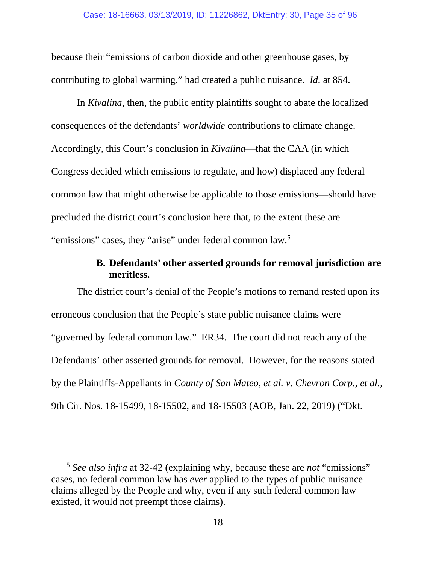because their "emissions of carbon dioxide and other greenhouse gases, by contributing to global warming," had created a public nuisance. *Id.* at 854.

In *Kivalina*, then, the public entity plaintiffs sought to abate the localized consequences of the defendants' *worldwide* contributions to climate change. Accordingly, this Court's conclusion in *Kivalina*—that the CAA (in which Congress decided which emissions to regulate, and how) displaced any federal common law that might otherwise be applicable to those emissions—should have precluded the district court's conclusion here that, to the extent these are "emissions" cases, they "arise" under federal common law.<sup>5</sup>

## **B. Defendants' other asserted grounds for removal jurisdiction are meritless.**

The district court's denial of the People's motions to remand rested upon its erroneous conclusion that the People's state public nuisance claims were "governed by federal common law." ER34. The court did not reach any of the Defendants' other asserted grounds for removal. However, for the reasons stated by the Plaintiffs-Appellants in *County of San Mateo, et al. v. Chevron Corp., et al.*, 9th Cir. Nos. 18-15499, 18-15502, and 18-15503 (AOB, Jan. 22, 2019) ("Dkt.

<sup>5</sup> *See also infra* at 32-42 (explaining why, because these are *not* "emissions" cases, no federal common law has *ever* applied to the types of public nuisance claims alleged by the People and why, even if any such federal common law existed, it would not preempt those claims).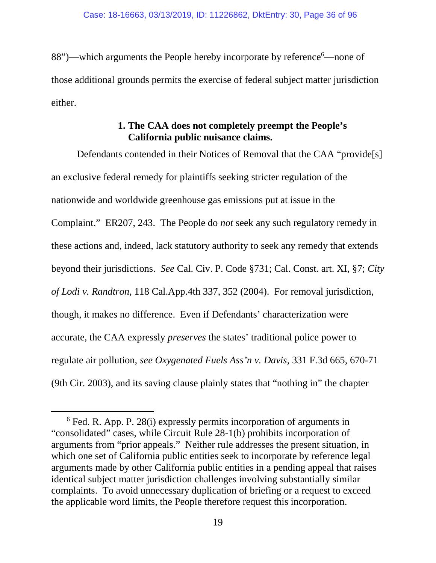88")—which arguments the People hereby incorporate by reference<sup>6</sup>—none of those additional grounds permits the exercise of federal subject matter jurisdiction either.

## **1. The CAA does not completely preempt the People's California public nuisance claims.**

Defendants contended in their Notices of Removal that the CAA "provide[s] an exclusive federal remedy for plaintiffs seeking stricter regulation of the nationwide and worldwide greenhouse gas emissions put at issue in the Complaint." ER207, 243. The People do *not* seek any such regulatory remedy in these actions and, indeed, lack statutory authority to seek any remedy that extends beyond their jurisdictions. *See* Cal. Civ. P. Code §731; Cal. Const. art. XI, §7; *City of Lodi v. Randtron*, 118 Cal.App.4th 337, 352 (2004). For removal jurisdiction, though, it makes no difference. Even if Defendants' characterization were accurate, the CAA expressly *preserves* the states' traditional police power to regulate air pollution, *see Oxygenated Fuels Ass'n v. Davis*, 331 F.3d 665, 670-71 (9th Cir. 2003), and its saving clause plainly states that "nothing in" the chapter

 $6$  Fed. R. App. P. 28(i) expressly permits incorporation of arguments in "consolidated" cases, while Circuit Rule 28-1(b) prohibits incorporation of arguments from "prior appeals." Neither rule addresses the present situation, in which one set of California public entities seek to incorporate by reference legal arguments made by other California public entities in a pending appeal that raises identical subject matter jurisdiction challenges involving substantially similar complaints. To avoid unnecessary duplication of briefing or a request to exceed the applicable word limits, the People therefore request this incorporation.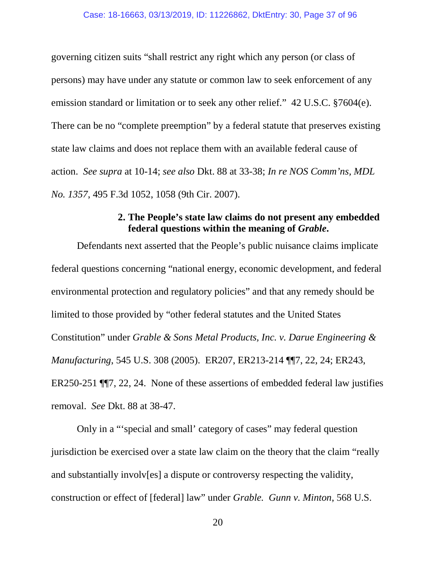governing citizen suits "shall restrict any right which any person (or class of persons) may have under any statute or common law to seek enforcement of any emission standard or limitation or to seek any other relief." 42 U.S.C. §7604(e). There can be no "complete preemption" by a federal statute that preserves existing state law claims and does not replace them with an available federal cause of action. *See supra* at 10-14; *see also* Dkt. 88 at 33-38; *In re NOS Comm'ns, MDL No. 1357*, 495 F.3d 1052, 1058 (9th Cir. 2007).

## **2. The People's state law claims do not present any embedded federal questions within the meaning of** *Grable***.**

Defendants next asserted that the People's public nuisance claims implicate federal questions concerning "national energy, economic development, and federal environmental protection and regulatory policies" and that any remedy should be limited to those provided by "other federal statutes and the United States Constitution" under *Grable & Sons Metal Products, Inc. v. Darue Engineering & Manufacturing*, 545 U.S. 308 (2005). ER207, ER213-214 ¶¶7, 22, 24; ER243, ER250-251 ¶¶7, 22, 24. None of these assertions of embedded federal law justifies removal. *See* Dkt. 88 at 38-47.

Only in a "'special and small' category of cases" may federal question jurisdiction be exercised over a state law claim on the theory that the claim "really and substantially involv[es] a dispute or controversy respecting the validity, construction or effect of [federal] law" under *Grable. Gunn v. Minton*, 568 U.S.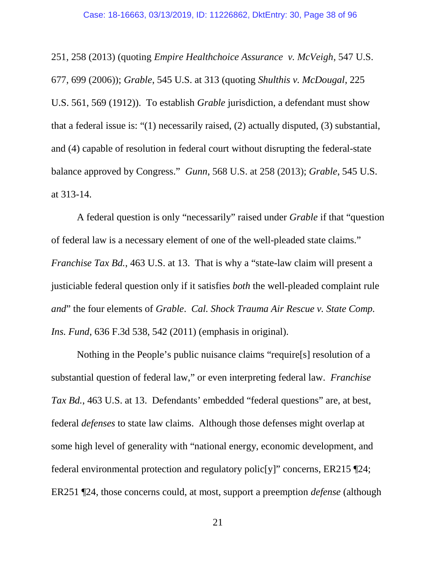251, 258 (2013) (quoting *Empire Healthchoice Assurance v. McVeigh*, 547 U.S. 677, 699 (2006)); *Grable*, 545 U.S. at 313 (quoting *Shulthis v. McDougal*, 225 U.S. 561, 569 (1912)). To establish *Grable* jurisdiction, a defendant must show that a federal issue is: "(1) necessarily raised, (2) actually disputed, (3) substantial, and (4) capable of resolution in federal court without disrupting the federal-state balance approved by Congress." *Gunn*, 568 U.S. at 258 (2013); *Grable*, 545 U.S. at 313-14.

A federal question is only "necessarily" raised under *Grable* if that "question of federal law is a necessary element of one of the well-pleaded state claims." *Franchise Tax Bd.*, 463 U.S. at 13. That is why a "state-law claim will present a justiciable federal question only if it satisfies *both* the well-pleaded complaint rule *and*" the four elements of *Grable*. *Cal. Shock Trauma Air Rescue v. State Comp. Ins. Fund*, 636 F.3d 538, 542 (2011) (emphasis in original).

Nothing in the People's public nuisance claims "require[s] resolution of a substantial question of federal law," or even interpreting federal law. *Franchise Tax Bd.*, 463 U.S. at 13. Defendants' embedded "federal questions" are, at best, federal *defenses* to state law claims. Although those defenses might overlap at some high level of generality with "national energy, economic development, and federal environmental protection and regulatory polic[y]" concerns, ER215 ¶24; ER251 ¶24, those concerns could, at most, support a preemption *defense* (although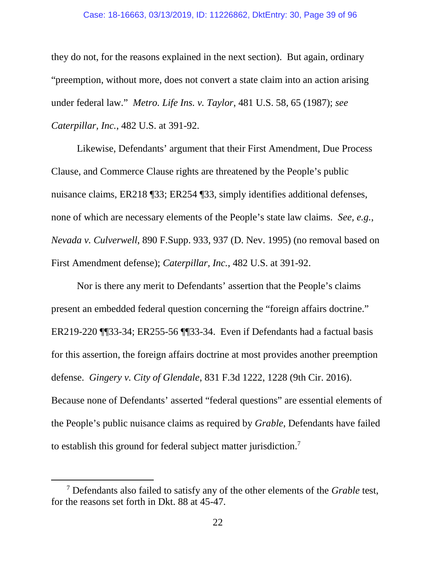### Case: 18-16663, 03/13/2019, ID: 11226862, DktEntry: 30, Page 39 of 96

they do not, for the reasons explained in the next section). But again, ordinary "preemption, without more, does not convert a state claim into an action arising under federal law." *Metro. Life Ins. v. Taylor*, 481 U.S. 58, 65 (1987); *see Caterpillar, Inc.*, 482 U.S. at 391-92.

Likewise, Defendants' argument that their First Amendment, Due Process Clause, and Commerce Clause rights are threatened by the People's public nuisance claims, ER218 ¶33; ER254 ¶33, simply identifies additional defenses, none of which are necessary elements of the People's state law claims. *See, e.g.*, *Nevada v. Culverwell*, 890 F.Supp. 933, 937 (D. Nev. 1995) (no removal based on First Amendment defense); *Caterpillar, Inc.*, 482 U.S. at 391-92.

Nor is there any merit to Defendants' assertion that the People's claims present an embedded federal question concerning the "foreign affairs doctrine." ER219-220 ¶¶33-34; ER255-56 ¶¶33-34. Even if Defendants had a factual basis for this assertion, the foreign affairs doctrine at most provides another preemption defense. *Gingery v. City of Glendale*, 831 F.3d 1222, 1228 (9th Cir. 2016). Because none of Defendants' asserted "federal questions" are essential elements of the People's public nuisance claims as required by *Grable*, Defendants have failed to establish this ground for federal subject matter jurisdiction.<sup>7</sup>

<sup>7</sup> Defendants also failed to satisfy any of the other elements of the *Grable* test, for the reasons set forth in Dkt. 88 at 45-47.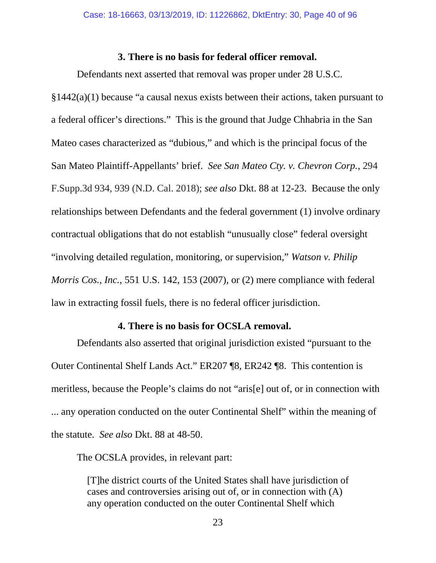### **3. There is no basis for federal officer removal.**

Defendants next asserted that removal was proper under 28 U.S.C. §1442(a)(1) because "a causal nexus exists between their actions, taken pursuant to a federal officer's directions." This is the ground that Judge Chhabria in the San Mateo cases characterized as "dubious," and which is the principal focus of the San Mateo Plaintiff-Appellants' brief. *See San Mateo Cty. v. Chevron Corp.*, 294 F.Supp.3d 934, 939 (N.D. Cal. 2018); *see also* Dkt. 88 at 12-23. Because the only relationships between Defendants and the federal government (1) involve ordinary contractual obligations that do not establish "unusually close" federal oversight "involving detailed regulation, monitoring, or supervision," *Watson v. Philip Morris Cos., Inc.*, 551 U.S. 142, 153 (2007), or (2) mere compliance with federal law in extracting fossil fuels, there is no federal officer jurisdiction.

## **4. There is no basis for OCSLA removal.**

Defendants also asserted that original jurisdiction existed "pursuant to the Outer Continental Shelf Lands Act." ER207 ¶8, ER242 ¶8. This contention is meritless, because the People's claims do not "aris[e] out of, or in connection with ... any operation conducted on the outer Continental Shelf" within the meaning of the statute. *See also* Dkt. 88 at 48-50.

The OCSLA provides, in relevant part:

[T]he district courts of the United States shall have jurisdiction of cases and controversies arising out of, or in connection with (A) any operation conducted on the outer Continental Shelf which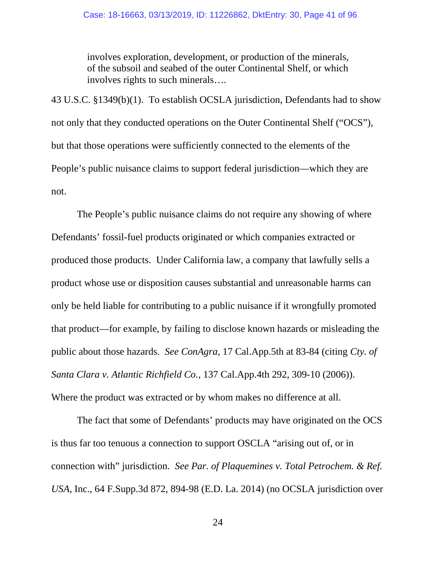involves exploration, development, or production of the minerals, of the subsoil and seabed of the outer Continental Shelf, or which involves rights to such minerals….

43 U.S.C. §1349(b)(1). To establish OCSLA jurisdiction, Defendants had to show not only that they conducted operations on the Outer Continental Shelf ("OCS"), but that those operations were sufficiently connected to the elements of the People's public nuisance claims to support federal jurisdiction—which they are not.

The People's public nuisance claims do not require any showing of where Defendants' fossil-fuel products originated or which companies extracted or produced those products. Under California law, a company that lawfully sells a product whose use or disposition causes substantial and unreasonable harms can only be held liable for contributing to a public nuisance if it wrongfully promoted that product—for example, by failing to disclose known hazards or misleading the public about those hazards. *See ConAgra*, 17 Cal.App.5th at 83-84 (citing *Cty. of Santa Clara v. Atlantic Richfield Co.*, 137 Cal.App.4th 292, 309-10 (2006)). Where the product was extracted or by whom makes no difference at all.

The fact that some of Defendants' products may have originated on the OCS is thus far too tenuous a connection to support OSCLA "arising out of, or in connection with" jurisdiction. *See Par. of Plaquemines v. Total Petrochem. & Ref. USA*, Inc., 64 F.Supp.3d 872, 894-98 (E.D. La. 2014) (no OCSLA jurisdiction over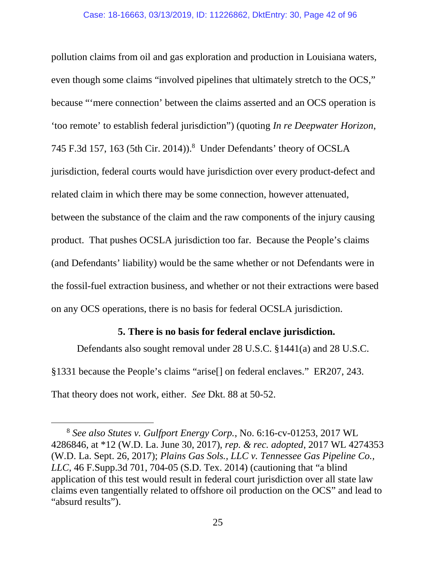pollution claims from oil and gas exploration and production in Louisiana waters, even though some claims "involved pipelines that ultimately stretch to the OCS," because "'mere connection' between the claims asserted and an OCS operation is 'too remote' to establish federal jurisdiction") (quoting *In re Deepwater Horizon*, 745 F.3d 157, 163 (5th Cir. 2014)).<sup>8</sup> Under Defendants' theory of OCSLA jurisdiction, federal courts would have jurisdiction over every product-defect and related claim in which there may be some connection, however attenuated, between the substance of the claim and the raw components of the injury causing product. That pushes OCSLA jurisdiction too far. Because the People's claims (and Defendants' liability) would be the same whether or not Defendants were in the fossil-fuel extraction business, and whether or not their extractions were based on any OCS operations, there is no basis for federal OCSLA jurisdiction.

## **5. There is no basis for federal enclave jurisdiction.**

Defendants also sought removal under 28 U.S.C. §1441(a) and 28 U.S.C. §1331 because the People's claims "arise[] on federal enclaves." ER207, 243. That theory does not work, either. *See* Dkt. 88 at 50-52.

<sup>8</sup> *See also Stutes v. Gulfport Energy Corp.*, No. 6:16-cv-01253, 2017 WL 4286846, at \*12 (W.D. La. June 30, 2017), *rep. & rec. adopted*, 2017 WL 4274353 (W.D. La. Sept. 26, 2017); *Plains Gas Sols., LLC v. Tennessee Gas Pipeline Co., LLC*, 46 F.Supp.3d 701, 704-05 (S.D. Tex. 2014) (cautioning that "a blind application of this test would result in federal court jurisdiction over all state law claims even tangentially related to offshore oil production on the OCS" and lead to "absurd results").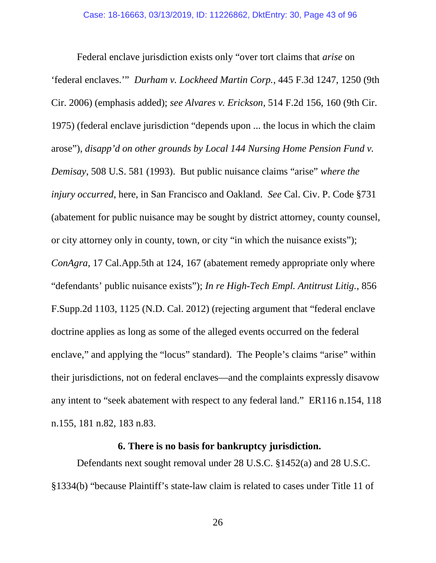Federal enclave jurisdiction exists only "over tort claims that *arise* on 'federal enclaves.'" *Durham v. Lockheed Martin Corp.*, 445 F.3d 1247, 1250 (9th Cir. 2006) (emphasis added); *see Alvares v. Erickson*, 514 F.2d 156, 160 (9th Cir. 1975) (federal enclave jurisdiction "depends upon ... the locus in which the claim arose"), *disapp'd on other grounds by Local 144 Nursing Home Pension Fund v. Demisay*, 508 U.S. 581 (1993). But public nuisance claims "arise" *where the injury occurred*, here, in San Francisco and Oakland. *See* Cal. Civ. P. Code §731 (abatement for public nuisance may be sought by district attorney, county counsel, or city attorney only in county, town, or city "in which the nuisance exists"); *ConAgra*, 17 Cal.App.5th at 124, 167 (abatement remedy appropriate only where "defendants' public nuisance exists"); *In re High-Tech Empl. Antitrust Litig.*, 856 F.Supp.2d 1103, 1125 (N.D. Cal. 2012) (rejecting argument that "federal enclave doctrine applies as long as some of the alleged events occurred on the federal enclave," and applying the "locus" standard). The People's claims "arise" within their jurisdictions, not on federal enclaves—and the complaints expressly disavow any intent to "seek abatement with respect to any federal land." ER116 n.154, 118 n.155, 181 n.82, 183 n.83.

## **6. There is no basis for bankruptcy jurisdiction.**

Defendants next sought removal under 28 U.S.C. §1452(a) and 28 U.S.C. §1334(b) "because Plaintiff's state-law claim is related to cases under Title 11 of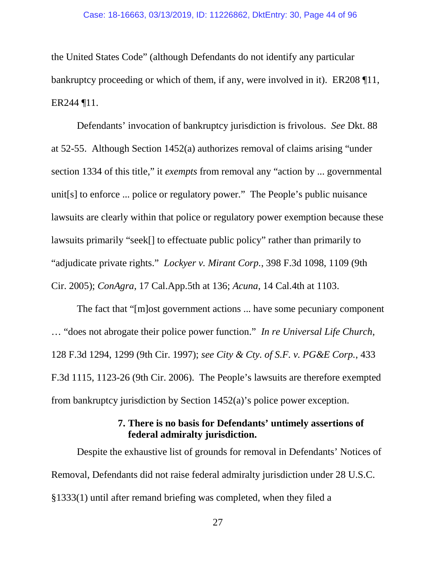the United States Code" (although Defendants do not identify any particular bankruptcy proceeding or which of them, if any, were involved in it). ER208 ¶11, ER244 ¶11.

Defendants' invocation of bankruptcy jurisdiction is frivolous. *See* Dkt. 88 at 52-55. Although Section 1452(a) authorizes removal of claims arising "under section 1334 of this title," it *exempts* from removal any "action by ... governmental unit[s] to enforce ... police or regulatory power." The People's public nuisance lawsuits are clearly within that police or regulatory power exemption because these lawsuits primarily "seek[] to effectuate public policy" rather than primarily to "adjudicate private rights." *Lockyer v. Mirant Corp.*, 398 F.3d 1098, 1109 (9th Cir. 2005); *ConAgra*, 17 Cal.App.5th at 136; *Acuna*, 14 Cal.4th at 1103.

The fact that "[m]ost government actions ... have some pecuniary component … "does not abrogate their police power function." *In re Universal Life Church*, 128 F.3d 1294, 1299 (9th Cir. 1997); *see City & Cty. of S.F. v. PG&E Corp.*, 433 F.3d 1115, 1123-26 (9th Cir. 2006). The People's lawsuits are therefore exempted from bankruptcy jurisdiction by Section 1452(a)'s police power exception.

## **7. There is no basis for Defendants' untimely assertions of federal admiralty jurisdiction.**

Despite the exhaustive list of grounds for removal in Defendants' Notices of Removal, Defendants did not raise federal admiralty jurisdiction under 28 U.S.C. §1333(1) until after remand briefing was completed, when they filed a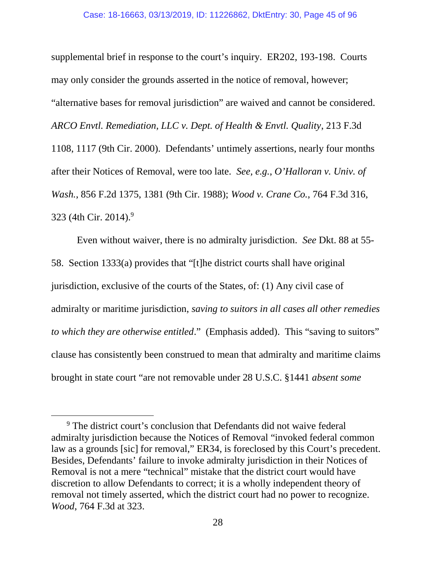supplemental brief in response to the court's inquiry. ER202, 193-198. Courts may only consider the grounds asserted in the notice of removal, however; "alternative bases for removal jurisdiction" are waived and cannot be considered. *ARCO Envtl. Remediation, LLC v. Dept. of Health & Envtl. Quality*, 213 F.3d 1108, 1117 (9th Cir. 2000). Defendants' untimely assertions, nearly four months after their Notices of Removal, were too late. *See, e.g.*, *O'Halloran v. Univ. of Wash.*, 856 F.2d 1375, 1381 (9th Cir. 1988); *Wood v. Crane Co.*, 764 F.3d 316, 323 (4th Cir. 2014).<sup>9</sup>

Even without waiver, there is no admiralty jurisdiction. *See* Dkt. 88 at 55- 58. Section 1333(a) provides that "[t]he district courts shall have original jurisdiction, exclusive of the courts of the States, of: (1) Any civil case of admiralty or maritime jurisdiction, *saving to suitors in all cases all other remedies to which they are otherwise entitled*." (Emphasis added). This "saving to suitors" clause has consistently been construed to mean that admiralty and maritime claims brought in state court "are not removable under 28 U.S.C. §1441 *absent some*

<sup>&</sup>lt;sup>9</sup> The district court's conclusion that Defendants did not waive federal admiralty jurisdiction because the Notices of Removal "invoked federal common law as a grounds [sic] for removal," ER34, is foreclosed by this Court's precedent. Besides, Defendants' failure to invoke admiralty jurisdiction in their Notices of Removal is not a mere "technical" mistake that the district court would have discretion to allow Defendants to correct; it is a wholly independent theory of removal not timely asserted, which the district court had no power to recognize. *Wood*, 764 F.3d at 323.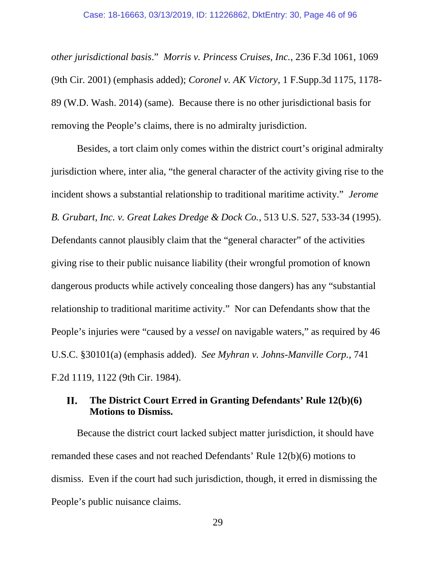*other jurisdictional basis*." *Morris v. Princess Cruises, Inc.*, 236 F.3d 1061, 1069 (9th Cir. 2001) (emphasis added); *Coronel v. AK Victory*, 1 F.Supp.3d 1175, 1178- 89 (W.D. Wash. 2014) (same). Because there is no other jurisdictional basis for removing the People's claims, there is no admiralty jurisdiction.

Besides, a tort claim only comes within the district court's original admiralty jurisdiction where, inter alia, "the general character of the activity giving rise to the incident shows a substantial relationship to traditional maritime activity." *Jerome B. Grubart, Inc. v. Great Lakes Dredge & Dock Co.*, 513 U.S. 527, 533-34 (1995). Defendants cannot plausibly claim that the "general character" of the activities giving rise to their public nuisance liability (their wrongful promotion of known dangerous products while actively concealing those dangers) has any "substantial relationship to traditional maritime activity." Nor can Defendants show that the People's injuries were "caused by a *vessel* on navigable waters," as required by 46 U.S.C. §30101(a) (emphasis added). *See Myhran v. Johns-Manville Corp.*, 741 F.2d 1119, 1122 (9th Cir. 1984).

#### **The District Court Erred in Granting Defendants' Rule 12(b)(6)** II. **Motions to Dismiss.**

Because the district court lacked subject matter jurisdiction, it should have remanded these cases and not reached Defendants' Rule 12(b)(6) motions to dismiss. Even if the court had such jurisdiction, though, it erred in dismissing the People's public nuisance claims.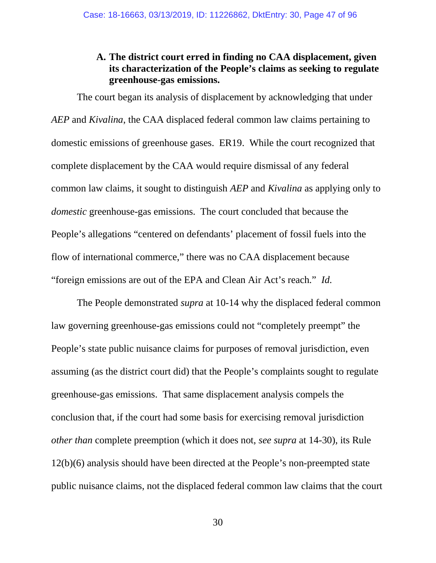# **A. The district court erred in finding no CAA displacement, given its characterization of the People's claims as seeking to regulate greenhouse-gas emissions.**

The court began its analysis of displacement by acknowledging that under *AEP* and *Kivalina*, the CAA displaced federal common law claims pertaining to domestic emissions of greenhouse gases. ER19. While the court recognized that complete displacement by the CAA would require dismissal of any federal common law claims, it sought to distinguish *AEP* and *Kivalina* as applying only to *domestic* greenhouse-gas emissions. The court concluded that because the People's allegations "centered on defendants' placement of fossil fuels into the flow of international commerce," there was no CAA displacement because "foreign emissions are out of the EPA and Clean Air Act's reach." *Id.*

The People demonstrated *supra* at 10-14 why the displaced federal common law governing greenhouse-gas emissions could not "completely preempt" the People's state public nuisance claims for purposes of removal jurisdiction, even assuming (as the district court did) that the People's complaints sought to regulate greenhouse-gas emissions. That same displacement analysis compels the conclusion that, if the court had some basis for exercising removal jurisdiction *other than* complete preemption (which it does not, *see supra* at 14-30), its Rule 12(b)(6) analysis should have been directed at the People's non-preempted state public nuisance claims, not the displaced federal common law claims that the court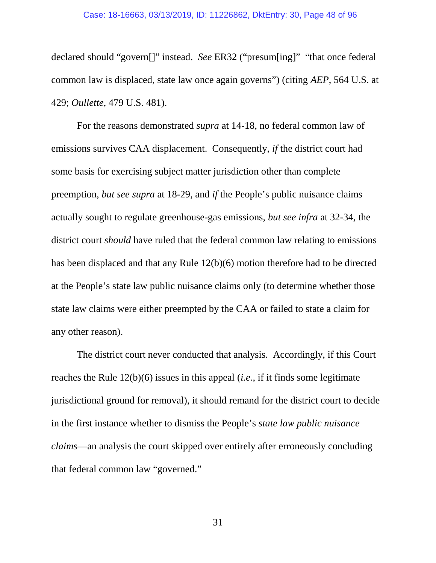declared should "govern[]" instead. *See* ER32 ("presum[ing]" "that once federal common law is displaced, state law once again governs") (citing *AEP*, 564 U.S. at 429; *Oullette*, 479 U.S. 481).

For the reasons demonstrated *supra* at 14-18, no federal common law of emissions survives CAA displacement. Consequently, *if* the district court had some basis for exercising subject matter jurisdiction other than complete preemption, *but see supra* at 18-29, and *if* the People's public nuisance claims actually sought to regulate greenhouse-gas emissions, *but see infra* at 32-34, the district court *should* have ruled that the federal common law relating to emissions has been displaced and that any Rule 12(b)(6) motion therefore had to be directed at the People's state law public nuisance claims only (to determine whether those state law claims were either preempted by the CAA or failed to state a claim for any other reason).

The district court never conducted that analysis. Accordingly, if this Court reaches the Rule 12(b)(6) issues in this appeal (*i.e.*, if it finds some legitimate jurisdictional ground for removal), it should remand for the district court to decide in the first instance whether to dismiss the People's *state law public nuisance claims*—an analysis the court skipped over entirely after erroneously concluding that federal common law "governed."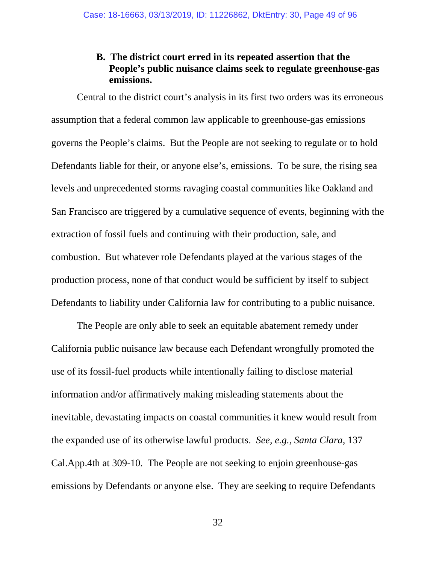# **B. The district** c**ourt erred in its repeated assertion that the People's public nuisance claims seek to regulate greenhouse-gas emissions.**

Central to the district court's analysis in its first two orders was its erroneous assumption that a federal common law applicable to greenhouse-gas emissions governs the People's claims. But the People are not seeking to regulate or to hold Defendants liable for their, or anyone else's, emissions. To be sure, the rising sea levels and unprecedented storms ravaging coastal communities like Oakland and San Francisco are triggered by a cumulative sequence of events, beginning with the extraction of fossil fuels and continuing with their production, sale, and combustion. But whatever role Defendants played at the various stages of the production process, none of that conduct would be sufficient by itself to subject Defendants to liability under California law for contributing to a public nuisance.

The People are only able to seek an equitable abatement remedy under California public nuisance law because each Defendant wrongfully promoted the use of its fossil-fuel products while intentionally failing to disclose material information and/or affirmatively making misleading statements about the inevitable, devastating impacts on coastal communities it knew would result from the expanded use of its otherwise lawful products. *See, e.g.*, *Santa Clara*, 137 Cal.App.4th at 309-10. The People are not seeking to enjoin greenhouse-gas emissions by Defendants or anyone else. They are seeking to require Defendants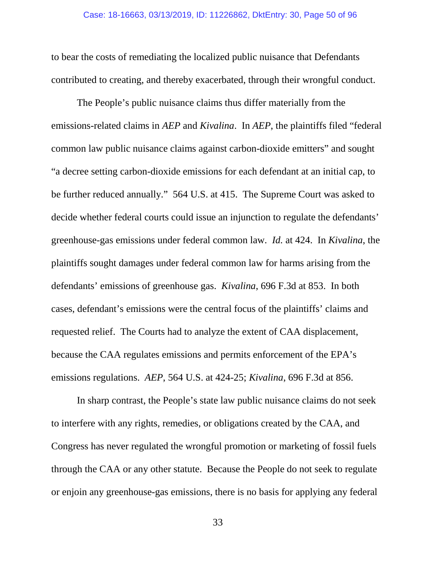to bear the costs of remediating the localized public nuisance that Defendants contributed to creating, and thereby exacerbated, through their wrongful conduct.

The People's public nuisance claims thus differ materially from the emissions-related claims in *AEP* and *Kivalina*. In *AEP*, the plaintiffs filed "federal common law public nuisance claims against carbon-dioxide emitters" and sought "a decree setting carbon-dioxide emissions for each defendant at an initial cap, to be further reduced annually." 564 U.S. at 415. The Supreme Court was asked to decide whether federal courts could issue an injunction to regulate the defendants' greenhouse-gas emissions under federal common law. *Id.* at 424. In *Kivalina*, the plaintiffs sought damages under federal common law for harms arising from the defendants' emissions of greenhouse gas. *Kivalina*, 696 F.3d at 853. In both cases, defendant's emissions were the central focus of the plaintiffs' claims and requested relief. The Courts had to analyze the extent of CAA displacement, because the CAA regulates emissions and permits enforcement of the EPA's emissions regulations. *AEP*, 564 U.S. at 424-25; *Kivalina*, 696 F.3d at 856.

In sharp contrast, the People's state law public nuisance claims do not seek to interfere with any rights, remedies, or obligations created by the CAA, and Congress has never regulated the wrongful promotion or marketing of fossil fuels through the CAA or any other statute. Because the People do not seek to regulate or enjoin any greenhouse-gas emissions, there is no basis for applying any federal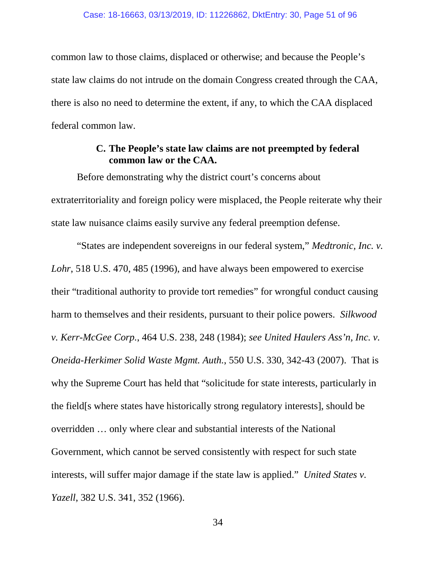common law to those claims, displaced or otherwise; and because the People's state law claims do not intrude on the domain Congress created through the CAA, there is also no need to determine the extent, if any, to which the CAA displaced federal common law.

## **C. The People's state law claims are not preempted by federal common law or the CAA.**

Before demonstrating why the district court's concerns about extraterritoriality and foreign policy were misplaced, the People reiterate why their state law nuisance claims easily survive any federal preemption defense.

"States are independent sovereigns in our federal system," *Medtronic, Inc. v. Lohr*, 518 U.S. 470, 485 (1996), and have always been empowered to exercise their "traditional authority to provide tort remedies" for wrongful conduct causing harm to themselves and their residents, pursuant to their police powers. *Silkwood v. Kerr-McGee Corp.*, 464 U.S. 238, 248 (1984); *see United Haulers Ass'n, Inc. v. Oneida-Herkimer Solid Waste Mgmt. Auth.*, 550 U.S. 330, 342-43 (2007). That is why the Supreme Court has held that "solicitude for state interests, particularly in the field[s where states have historically strong regulatory interests], should be overridden … only where clear and substantial interests of the National Government, which cannot be served consistently with respect for such state interests, will suffer major damage if the state law is applied." *United States v. Yazell*, 382 U.S. 341, 352 (1966).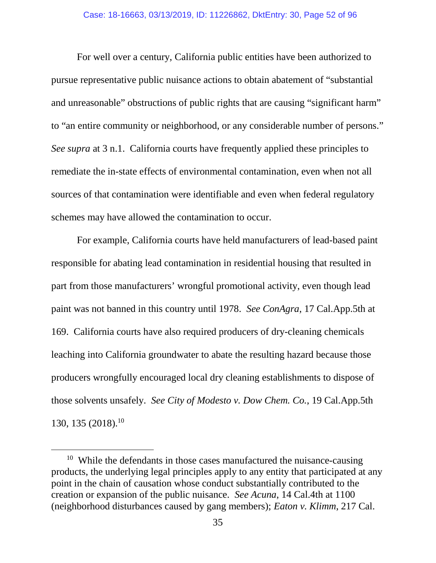For well over a century, California public entities have been authorized to pursue representative public nuisance actions to obtain abatement of "substantial and unreasonable" obstructions of public rights that are causing "significant harm" to "an entire community or neighborhood, or any considerable number of persons." *See supra* at 3 n.1. California courts have frequently applied these principles to remediate the in-state effects of environmental contamination, even when not all sources of that contamination were identifiable and even when federal regulatory schemes may have allowed the contamination to occur.

For example, California courts have held manufacturers of lead-based paint responsible for abating lead contamination in residential housing that resulted in part from those manufacturers' wrongful promotional activity, even though lead paint was not banned in this country until 1978. *See ConAgra*, 17 Cal.App.5th at 169. California courts have also required producers of dry-cleaning chemicals leaching into California groundwater to abate the resulting hazard because those producers wrongfully encouraged local dry cleaning establishments to dispose of those solvents unsafely. *See City of Modesto v. Dow Chem. Co.*, 19 Cal.App.5th 130, 135 (2018).<sup>10</sup>

<sup>&</sup>lt;sup>10</sup> While the defendants in those cases manufactured the nuisance-causing products, the underlying legal principles apply to any entity that participated at any point in the chain of causation whose conduct substantially contributed to the creation or expansion of the public nuisance. *See Acuna*, 14 Cal.4th at 1100 (neighborhood disturbances caused by gang members); *Eaton v. Klimm*, 217 Cal.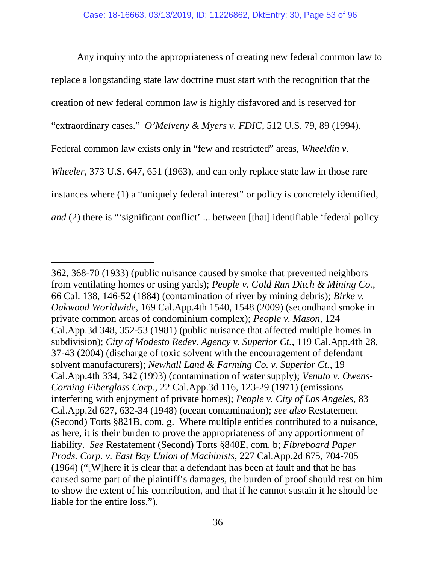Any inquiry into the appropriateness of creating new federal common law to replace a longstanding state law doctrine must start with the recognition that the creation of new federal common law is highly disfavored and is reserved for "extraordinary cases." *O'Melveny & Myers v. FDIC*, 512 U.S. 79, 89 (1994). Federal common law exists only in "few and restricted" areas, *Wheeldin v. Wheeler*, 373 U.S. 647, 651 (1963), and can only replace state law in those rare instances where (1) a "uniquely federal interest" or policy is concretely identified, *and* (2) there is "'significant conflict' ... between [that] identifiable 'federal policy

<sup>362, 368-70 (1933) (</sup>public nuisance caused by smoke that prevented neighbors from ventilating homes or using yards); *People v. Gold Run Ditch & Mining Co.,* 66 Cal. 138, 146-52 (1884) (contamination of river by mining debris); *Birke v. Oakwood Worldwide*, 169 Cal.App.4th 1540, 1548 (2009) (secondhand smoke in private common areas of condominium complex); *People v. Mason*, 124 Cal.App.3d 348, 352-53 (1981) (public nuisance that affected multiple homes in subdivision); *City of Modesto Redev. Agency v. Superior Ct.*, 119 Cal.App.4th 28, 37-43 (2004) (discharge of toxic solvent with the encouragement of defendant solvent manufacturers); *Newhall Land & Farming Co. v. Superior Ct.*, 19 Cal.App.4th 334, 342 (1993) (contamination of water supply); *Venuto v. Owens-Corning Fiberglass Corp*., 22 Cal.App.3d 116, 123-29 (1971) (emissions interfering with enjoyment of private homes); *People v. City of Los Angeles*, 83 Cal.App.2d 627, 632-34 (1948) (ocean contamination); *see also* Restatement (Second) Torts §821B, com. g. Where multiple entities contributed to a nuisance, as here, it is their burden to prove the appropriateness of any apportionment of liability. *See* Restatement (Second) Torts §840E, com. b; *Fibreboard Paper Prods. Corp. v. East Bay Union of Machinists*, 227 Cal.App.2d 675, 704-705 (1964) ("[W]here it is clear that a defendant has been at fault and that he has caused some part of the plaintiff's damages, the burden of proof should rest on him to show the extent of his contribution, and that if he cannot sustain it he should be liable for the entire loss.").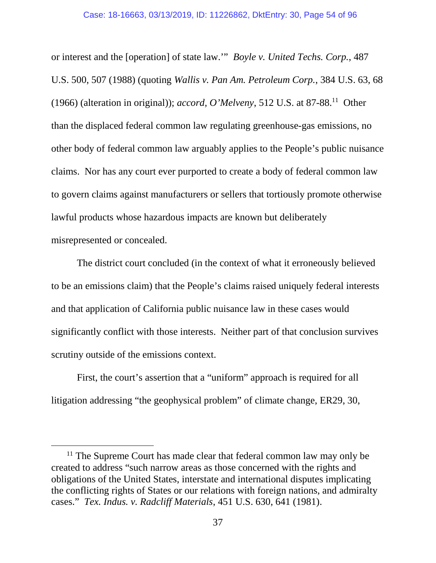or interest and the [operation] of state law.'" *Boyle v. United Techs. Corp.*, 487 U.S. 500, 507 (1988) (quoting *Wallis v. Pan Am. Petroleum Corp.*, 384 U.S. 63, 68 (1966) (alteration in original)); *accord, O'Melveny*, 512 U.S. at 87-88.<sup>11</sup> Other than the displaced federal common law regulating greenhouse-gas emissions, no other body of federal common law arguably applies to the People's public nuisance claims. Nor has any court ever purported to create a body of federal common law to govern claims against manufacturers or sellers that tortiously promote otherwise lawful products whose hazardous impacts are known but deliberately misrepresented or concealed.

The district court concluded (in the context of what it erroneously believed to be an emissions claim) that the People's claims raised uniquely federal interests and that application of California public nuisance law in these cases would significantly conflict with those interests. Neither part of that conclusion survives scrutiny outside of the emissions context.

First, the court's assertion that a "uniform" approach is required for all litigation addressing "the geophysical problem" of climate change, ER29, 30,

<sup>&</sup>lt;sup>11</sup> The Supreme Court has made clear that federal common law may only be created to address "such narrow areas as those concerned with the rights and obligations of the United States, interstate and international disputes implicating the conflicting rights of States or our relations with foreign nations, and admiralty cases." *Tex. Indus. v. Radcliff Materials*, 451 U.S. 630, 641 (1981).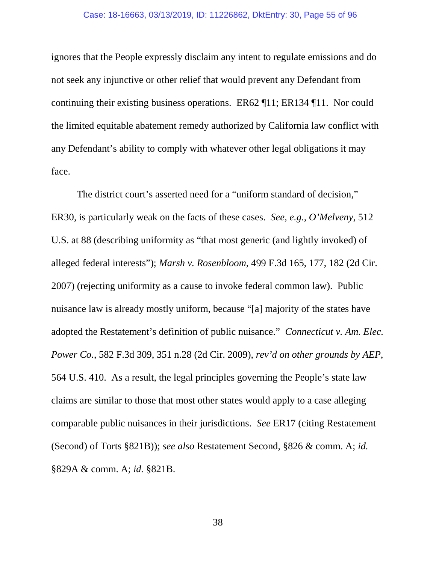ignores that the People expressly disclaim any intent to regulate emissions and do not seek any injunctive or other relief that would prevent any Defendant from continuing their existing business operations. ER62 ¶11; ER134 ¶11. Nor could the limited equitable abatement remedy authorized by California law conflict with any Defendant's ability to comply with whatever other legal obligations it may face.

The district court's asserted need for a "uniform standard of decision," ER30, is particularly weak on the facts of these cases. *See, e.g.*, *O'Melveny*, 512 U.S. at 88 (describing uniformity as "that most generic (and lightly invoked) of alleged federal interests"); *Marsh v. Rosenbloom*, 499 F.3d 165, 177, 182 (2d Cir. 2007) (rejecting uniformity as a cause to invoke federal common law). Public nuisance law is already mostly uniform, because "[a] majority of the states have adopted the Restatement's definition of public nuisance." *Connecticut v. Am. Elec. Power Co.*, 582 F.3d 309, 351 n.28 (2d Cir. 2009), *rev'd on other grounds by AEP*, 564 U.S. 410. As a result, the legal principles governing the People's state law claims are similar to those that most other states would apply to a case alleging comparable public nuisances in their jurisdictions. *See* ER17 (citing Restatement (Second) of Torts §821B)); *see also* Restatement Second, §826 & comm. A; *id.* §829A & comm. A; *id.* §821B.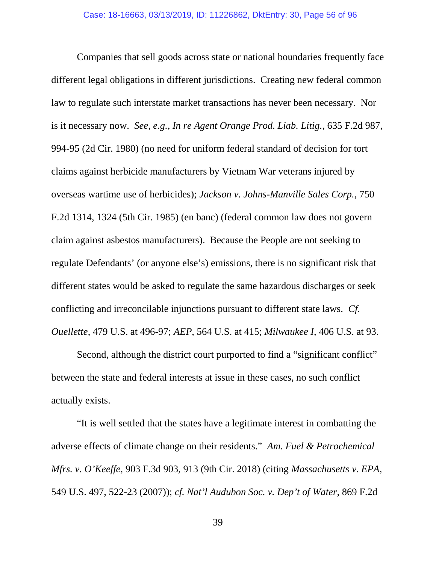Companies that sell goods across state or national boundaries frequently face different legal obligations in different jurisdictions. Creating new federal common law to regulate such interstate market transactions has never been necessary. Nor is it necessary now. *See, e.g.*, *In re Agent Orange Prod. Liab. Litig.*, 635 F.2d 987, 994-95 (2d Cir. 1980) (no need for uniform federal standard of decision for tort claims against herbicide manufacturers by Vietnam War veterans injured by overseas wartime use of herbicides); *Jackson v. Johns-Manville Sales Corp.*, 750 F.2d 1314, 1324 (5th Cir. 1985) (en banc) (federal common law does not govern claim against asbestos manufacturers). Because the People are not seeking to regulate Defendants' (or anyone else's) emissions, there is no significant risk that different states would be asked to regulate the same hazardous discharges or seek conflicting and irreconcilable injunctions pursuant to different state laws. *Cf. Ouellette*, 479 U.S. at 496-97; *AEP*, 564 U.S. at 415; *Milwaukee I*, 406 U.S. at 93.

Second, although the district court purported to find a "significant conflict" between the state and federal interests at issue in these cases, no such conflict actually exists.

"It is well settled that the states have a legitimate interest in combatting the adverse effects of climate change on their residents." *Am. Fuel & Petrochemical Mfrs. v. O'Keeffe*, 903 F.3d 903, 913 (9th Cir. 2018) (citing *Massachusetts v. EPA*, 549 U.S. 497, 522-23 (2007)); *cf. Nat'l Audubon Soc. v. Dep't of Water*, 869 F.2d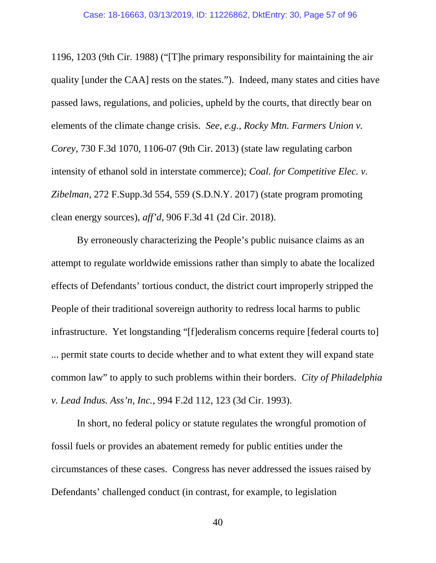1196, 1203 (9th Cir. 1988) ("[T]he primary responsibility for maintaining the air quality [under the CAA] rests on the states."). Indeed, many states and cities have passed laws, regulations, and policies, upheld by the courts, that directly bear on elements of the climate change crisis. *See, e.g.*, *Rocky Mtn. Farmers Union v. Corey*, 730 F.3d 1070, 1106-07 (9th Cir. 2013) (state law regulating carbon intensity of ethanol sold in interstate commerce); *Coal. for Competitive Elec. v. Zibelman*, 272 F.Supp.3d 554, 559 (S.D.N.Y. 2017) (state program promoting clean energy sources), *aff'd*, 906 F.3d 41 (2d Cir. 2018).

By erroneously characterizing the People's public nuisance claims as an attempt to regulate worldwide emissions rather than simply to abate the localized effects of Defendants' tortious conduct, the district court improperly stripped the People of their traditional sovereign authority to redress local harms to public infrastructure. Yet longstanding "[f]ederalism concerns require [federal courts to] ... permit state courts to decide whether and to what extent they will expand state common law" to apply to such problems within their borders. *City of Philadelphia v. Lead Indus. Ass'n, Inc.*, 994 F.2d 112, 123 (3d Cir. 1993).

In short, no federal policy or statute regulates the wrongful promotion of fossil fuels or provides an abatement remedy for public entities under the circumstances of these cases. Congress has never addressed the issues raised by Defendants' challenged conduct (in contrast, for example, to legislation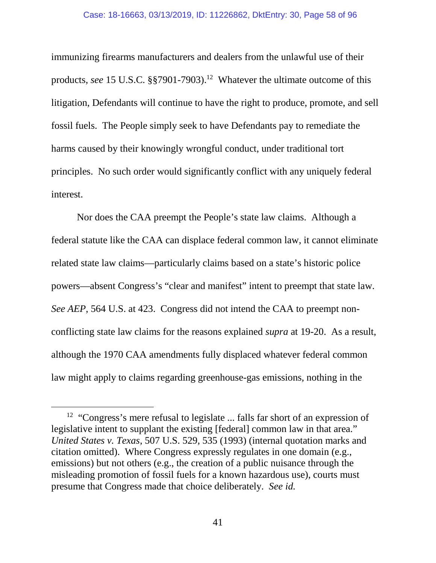immunizing firearms manufacturers and dealers from the unlawful use of their products, *see* 15 U.S.C. §§7901-7903).<sup>12</sup> Whatever the ultimate outcome of this litigation, Defendants will continue to have the right to produce, promote, and sell fossil fuels. The People simply seek to have Defendants pay to remediate the harms caused by their knowingly wrongful conduct, under traditional tort principles. No such order would significantly conflict with any uniquely federal interest.

Nor does the CAA preempt the People's state law claims. Although a federal statute like the CAA can displace federal common law, it cannot eliminate related state law claims—particularly claims based on a state's historic police powers—absent Congress's "clear and manifest" intent to preempt that state law. *See AEP*, 564 U.S. at 423. Congress did not intend the CAA to preempt nonconflicting state law claims for the reasons explained *supra* at 19-20. As a result, although the 1970 CAA amendments fully displaced whatever federal common law might apply to claims regarding greenhouse-gas emissions, nothing in the

<sup>&</sup>lt;sup>12</sup> "Congress's mere refusal to legislate ... falls far short of an expression of legislative intent to supplant the existing [federal] common law in that area." *United States v. Texas*, 507 U.S. 529, 535 (1993) (internal quotation marks and citation omitted). Where Congress expressly regulates in one domain (e.g., emissions) but not others (e.g., the creation of a public nuisance through the misleading promotion of fossil fuels for a known hazardous use), courts must presume that Congress made that choice deliberately. *See id.*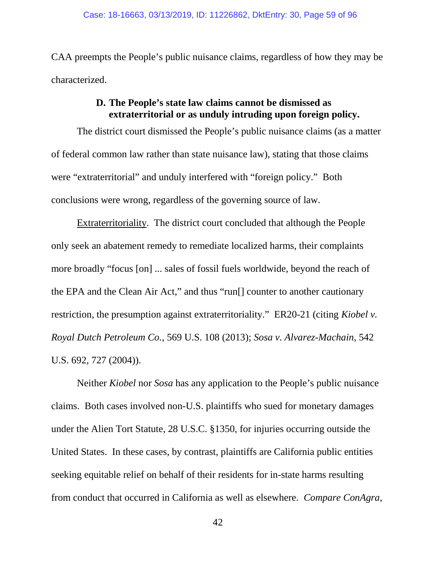CAA preempts the People's public nuisance claims, regardless of how they may be characterized.

## **D. The People's state law claims cannot be dismissed as extraterritorial or as unduly intruding upon foreign policy.**

The district court dismissed the People's public nuisance claims (as a matter of federal common law rather than state nuisance law), stating that those claims were "extraterritorial" and unduly interfered with "foreign policy." Both conclusions were wrong, regardless of the governing source of law.

Extraterritoriality. The district court concluded that although the People only seek an abatement remedy to remediate localized harms, their complaints more broadly "focus [on] ... sales of fossil fuels worldwide, beyond the reach of the EPA and the Clean Air Act," and thus "run[] counter to another cautionary restriction, the presumption against extraterritoriality." ER20-21 (citing *Kiobel v. Royal Dutch Petroleum Co.*, 569 U.S. 108 (2013); *Sosa v. Alvarez-Machain*, 542 U.S. 692, 727 (2004)).

Neither *Kiobel* nor *Sosa* has any application to the People's public nuisance claims. Both cases involved non-U.S. plaintiffs who sued for monetary damages under the Alien Tort Statute, 28 U.S.C. §1350, for injuries occurring outside the United States. In these cases, by contrast, plaintiffs are California public entities seeking equitable relief on behalf of their residents for in-state harms resulting from conduct that occurred in California as well as elsewhere. *Compare ConAgra*,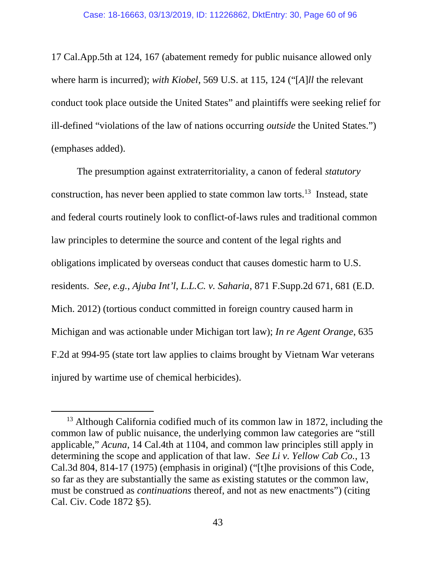17 Cal.App.5th at 124, 167 (abatement remedy for public nuisance allowed only where harm is incurred); *with Kiobel*, 569 U.S. at 115, 124 ("[*A*]*ll* the relevant conduct took place outside the United States" and plaintiffs were seeking relief for ill-defined "violations of the law of nations occurring *outside* the United States.") (emphases added).

The presumption against extraterritoriality, a canon of federal *statutory* construction, has never been applied to state common law torts.<sup>13</sup> Instead, state and federal courts routinely look to conflict-of-laws rules and traditional common law principles to determine the source and content of the legal rights and obligations implicated by overseas conduct that causes domestic harm to U.S. residents. *See, e.g.*, *Ajuba Int'l, L.L.C. v. Saharia*, 871 F.Supp.2d 671, 681 (E.D. Mich. 2012) (tortious conduct committed in foreign country caused harm in Michigan and was actionable under Michigan tort law); *In re Agent Orange*, 635 F.2d at 994-95 (state tort law applies to claims brought by Vietnam War veterans injured by wartime use of chemical herbicides).

<sup>&</sup>lt;sup>13</sup> Although California codified much of its common law in 1872, including the common law of public nuisance, the underlying common law categories are "still applicable," *Acuna*, 14 Cal.4th at 1104, and common law principles still apply in determining the scope and application of that law. *See Li v. Yellow Cab Co.*, 13 Cal.3d 804, 814-17 (1975) (emphasis in original) ("[t]he provisions of this Code, so far as they are substantially the same as existing statutes or the common law, must be construed as *continuations* thereof, and not as new enactments") (citing Cal. Civ. Code 1872 §5).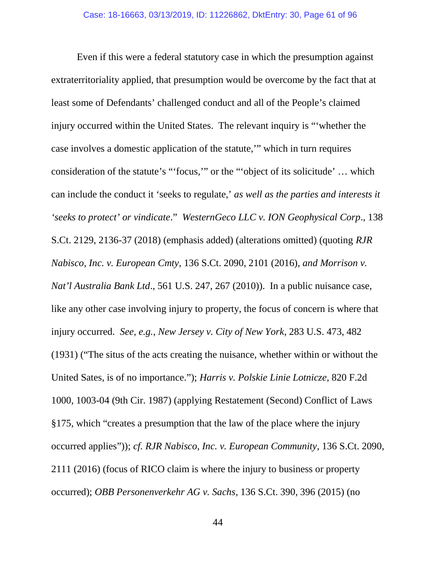Even if this were a federal statutory case in which the presumption against extraterritoriality applied, that presumption would be overcome by the fact that at least some of Defendants' challenged conduct and all of the People's claimed injury occurred within the United States. The relevant inquiry is "'whether the case involves a domestic application of the statute,'" which in turn requires consideration of the statute's "'focus,'" or the "'object of its solicitude' … which can include the conduct it 'seeks to regulate,' *as well as the parties and interests it 'seeks to protect' or vindicate*." *WesternGeco LLC v. ION Geophysical Corp*., 138 S.Ct. 2129, 2136-37 (2018) (emphasis added) (alterations omitted) (quoting *RJR Nabisco, Inc. v. European Cmty*, 136 S.Ct. 2090, 2101 (2016), *and Morrison v. Nat'l Australia Bank Ltd*., 561 U.S. 247, 267 (2010)). In a public nuisance case, like any other case involving injury to property, the focus of concern is where that injury occurred. *See, e.g.*, *New Jersey v. City of New York*, 283 U.S. 473, 482 (1931) ("The situs of the acts creating the nuisance, whether within or without the United Sates, is of no importance."); *Harris v. Polskie Linie Lotnicze*, 820 F.2d 1000, 1003-04 (9th Cir. 1987) (applying Restatement (Second) Conflict of Laws §175, which "creates a presumption that the law of the place where the injury occurred applies")); *cf. RJR Nabisco, Inc. v. European Community*, 136 S.Ct. 2090, 2111 (2016) (focus of RICO claim is where the injury to business or property occurred); *OBB Personenverkehr AG v. Sachs*, 136 S.Ct. 390, 396 (2015) (no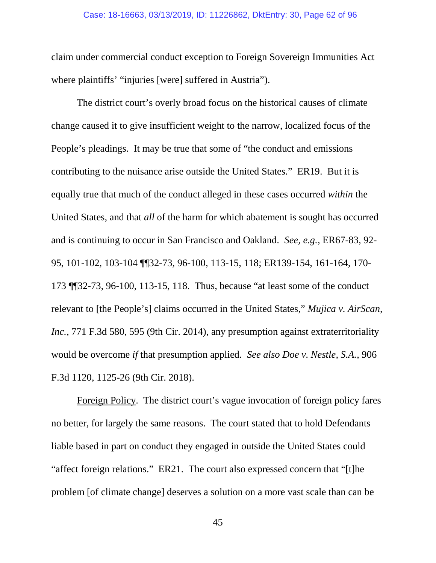claim under commercial conduct exception to Foreign Sovereign Immunities Act where plaintiffs' "injuries [were] suffered in Austria").

The district court's overly broad focus on the historical causes of climate change caused it to give insufficient weight to the narrow, localized focus of the People's pleadings. It may be true that some of "the conduct and emissions contributing to the nuisance arise outside the United States." ER19. But it is equally true that much of the conduct alleged in these cases occurred *within* the United States, and that *all* of the harm for which abatement is sought has occurred and is continuing to occur in San Francisco and Oakland. *See, e.g.*, ER67-83, 92- 95, 101-102, 103-104 ¶¶32-73, 96-100, 113-15, 118; ER139-154, 161-164, 170- 173 ¶¶32-73, 96-100, 113-15, 118. Thus, because "at least some of the conduct relevant to [the People's] claims occurred in the United States," *Mujica v. AirScan, Inc.*, 771 F.3d 580, 595 (9th Cir. 2014), any presumption against extraterritoriality would be overcome *if* that presumption applied. *See also Doe v. Nestle, S.A.*, 906 F.3d 1120, 1125-26 (9th Cir. 2018).

Foreign Policy. The district court's vague invocation of foreign policy fares no better, for largely the same reasons. The court stated that to hold Defendants liable based in part on conduct they engaged in outside the United States could "affect foreign relations." ER21. The court also expressed concern that "[t]he problem [of climate change] deserves a solution on a more vast scale than can be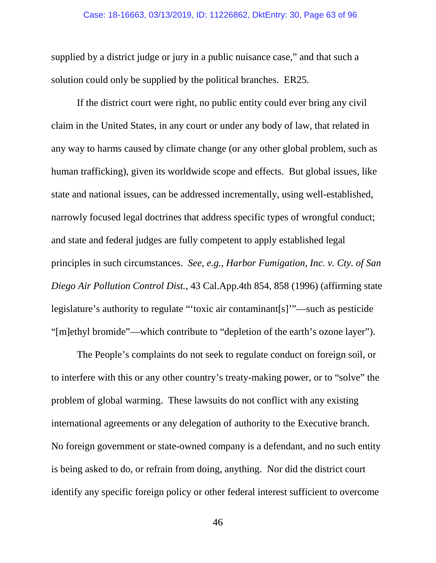supplied by a district judge or jury in a public nuisance case," and that such a solution could only be supplied by the political branches. ER25.

If the district court were right, no public entity could ever bring any civil claim in the United States, in any court or under any body of law, that related in any way to harms caused by climate change (or any other global problem, such as human trafficking), given its worldwide scope and effects. But global issues, like state and national issues, can be addressed incrementally, using well-established, narrowly focused legal doctrines that address specific types of wrongful conduct; and state and federal judges are fully competent to apply established legal principles in such circumstances. *See, e.g.*, *Harbor Fumigation, Inc. v. Cty. of San Diego Air Pollution Control Dist.*, 43 Cal.App.4th 854, 858 (1996) (affirming state legislature's authority to regulate "'toxic air contaminant[s]'"—such as pesticide "[m]ethyl bromide"—which contribute to "depletion of the earth's ozone layer").

The People's complaints do not seek to regulate conduct on foreign soil, or to interfere with this or any other country's treaty-making power, or to "solve" the problem of global warming. These lawsuits do not conflict with any existing international agreements or any delegation of authority to the Executive branch. No foreign government or state-owned company is a defendant, and no such entity is being asked to do, or refrain from doing, anything. Nor did the district court identify any specific foreign policy or other federal interest sufficient to overcome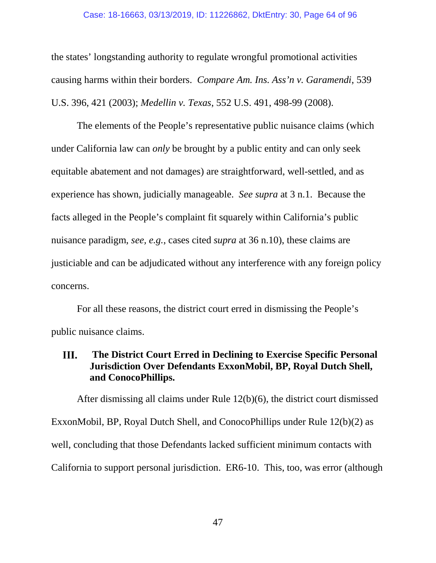### Case: 18-16663, 03/13/2019, ID: 11226862, DktEntry: 30, Page 64 of 96

the states' longstanding authority to regulate wrongful promotional activities causing harms within their borders. *Compare Am. Ins. Ass'n v. Garamendi*, 539 U.S. 396, 421 (2003); *Medellin v. Texas*, 552 U.S. 491, 498-99 (2008).

The elements of the People's representative public nuisance claims (which under California law can *only* be brought by a public entity and can only seek equitable abatement and not damages) are straightforward, well-settled, and as experience has shown, judicially manageable. *See supra* at 3 n.1. Because the facts alleged in the People's complaint fit squarely within California's public nuisance paradigm, *see, e.g.*, cases cited *supra* at 36 n.10), these claims are justiciable and can be adjudicated without any interference with any foreign policy concerns.

For all these reasons, the district court erred in dismissing the People's public nuisance claims.

#### **The District Court Erred in Declining to Exercise Specific Personal** III. **Jurisdiction Over Defendants ExxonMobil, BP, Royal Dutch Shell, and ConocoPhillips.**

After dismissing all claims under Rule 12(b)(6), the district court dismissed ExxonMobil, BP, Royal Dutch Shell, and ConocoPhillips under Rule 12(b)(2) as well, concluding that those Defendants lacked sufficient minimum contacts with California to support personal jurisdiction. ER6-10. This, too, was error (although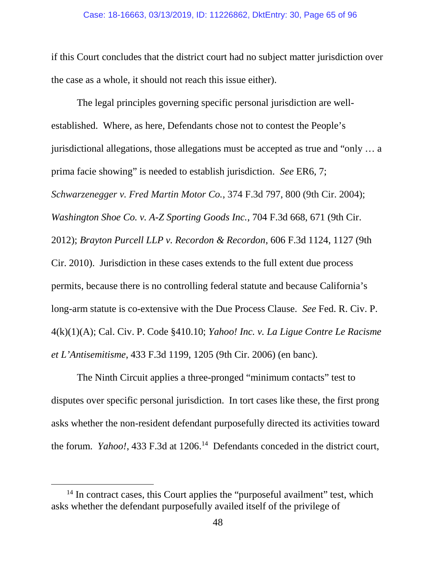if this Court concludes that the district court had no subject matter jurisdiction over the case as a whole, it should not reach this issue either).

The legal principles governing specific personal jurisdiction are wellestablished. Where, as here, Defendants chose not to contest the People's jurisdictional allegations, those allegations must be accepted as true and "only … a prima facie showing" is needed to establish jurisdiction. *See* ER6, 7; *Schwarzenegger v. Fred Martin Motor Co.*, 374 F.3d 797, 800 (9th Cir. 2004); *Washington Shoe Co. v. A-Z Sporting Goods Inc.*, 704 F.3d 668, 671 (9th Cir. 2012); *Brayton Purcell LLP v. Recordon & Recordon*, 606 F.3d 1124, 1127 (9th Cir. 2010). Jurisdiction in these cases extends to the full extent due process permits, because there is no controlling federal statute and because California's long-arm statute is co-extensive with the Due Process Clause. *See* Fed. R. Civ. P. 4(k)(1)(A); Cal. Civ. P. Code §410.10; *Yahoo! Inc. v. La Ligue Contre Le Racisme et L'Antisemitisme*, 433 F.3d 1199, 1205 (9th Cir. 2006) (en banc).

The Ninth Circuit applies a three-pronged "minimum contacts" test to disputes over specific personal jurisdiction. In tort cases like these, the first prong asks whether the non-resident defendant purposefully directed its activities toward the forum. *Yahoo!*, 433 F.3d at 1206.<sup>14</sup> Defendants conceded in the district court,

<sup>&</sup>lt;sup>14</sup> In contract cases, this Court applies the "purposeful availment" test, which asks whether the defendant purposefully availed itself of the privilege of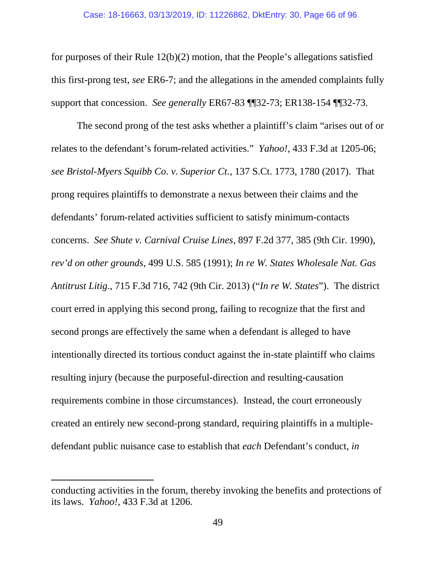for purposes of their Rule 12(b)(2) motion, that the People's allegations satisfied this first-prong test, *see* ER6-7; and the allegations in the amended complaints fully support that concession. *See generally* ER67-83 ¶¶32-73; ER138-154 ¶¶32-73.

The second prong of the test asks whether a plaintiff's claim "arises out of or relates to the defendant's forum-related activities." *Yahoo!*, 433 F.3d at 1205-06; *see Bristol-Myers Squibb Co. v. Superior Ct.*, 137 S.Ct. 1773, 1780 (2017). That prong requires plaintiffs to demonstrate a nexus between their claims and the defendants' forum-related activities sufficient to satisfy minimum-contacts concerns. *See Shute v. Carnival Cruise Lines*, 897 F.2d 377, 385 (9th Cir. 1990), *rev'd on other grounds*, 499 U.S. 585 (1991); *In re W. States Wholesale Nat. Gas Antitrust Litig*., 715 F.3d 716, 742 (9th Cir. 2013) ("*In re W. States*"). The district court erred in applying this second prong, failing to recognize that the first and second prongs are effectively the same when a defendant is alleged to have intentionally directed its tortious conduct against the in-state plaintiff who claims resulting injury (because the purposeful-direction and resulting-causation requirements combine in those circumstances). Instead, the court erroneously created an entirely new second-prong standard, requiring plaintiffs in a multipledefendant public nuisance case to establish that *each* Defendant's conduct, *in*

conducting activities in the forum, thereby invoking the benefits and protections of its laws. *Yahoo!*, 433 F.3d at 1206.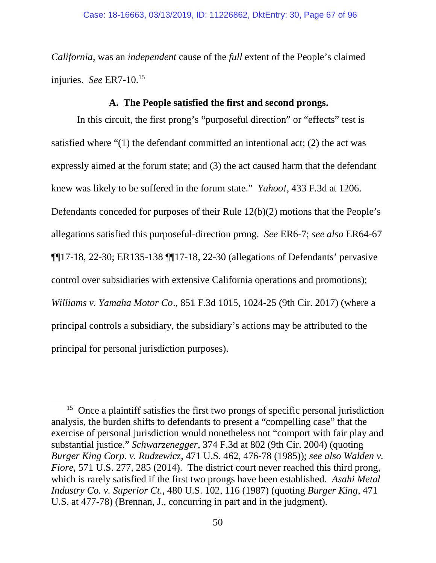*California*, was an *independent* cause of the *full* extent of the People's claimed injuries. *See* ER7-10.<sup>15</sup>

## **A. The People satisfied the first and second prongs.**

In this circuit, the first prong's "purposeful direction" or "effects" test is satisfied where "(1) the defendant committed an intentional act; (2) the act was expressly aimed at the forum state; and (3) the act caused harm that the defendant knew was likely to be suffered in the forum state." *Yahoo!*, 433 F.3d at 1206. Defendants conceded for purposes of their Rule 12(b)(2) motions that the People's allegations satisfied this purposeful-direction prong. *See* ER6-7; *see also* ER64-67 ¶¶17-18, 22-30; ER135-138 ¶¶17-18, 22-30 (allegations of Defendants' pervasive control over subsidiaries with extensive California operations and promotions); *Williams v. Yamaha Motor Co*., 851 F.3d 1015, 1024-25 (9th Cir. 2017) (where a principal controls a subsidiary, the subsidiary's actions may be attributed to the principal for personal jurisdiction purposes).

<sup>&</sup>lt;sup>15</sup> Once a plaintiff satisfies the first two prongs of specific personal jurisdiction analysis, the burden shifts to defendants to present a "compelling case" that the exercise of personal jurisdiction would nonetheless not "comport with fair play and substantial justice." *Schwarzenegger*, 374 F.3d at 802 (9th Cir. 2004) (quoting *Burger King Corp. v. Rudzewicz*, 471 U.S. 462, 476-78 (1985)); *see also Walden v. Fiore*, 571 U.S. 277, 285 (2014). The district court never reached this third prong, which is rarely satisfied if the first two prongs have been established. *Asahi Metal Industry Co. v. Superior Ct.*, 480 U.S. 102, 116 (1987) (quoting *Burger King*, 471 U.S. at 477-78) (Brennan, J., concurring in part and in the judgment).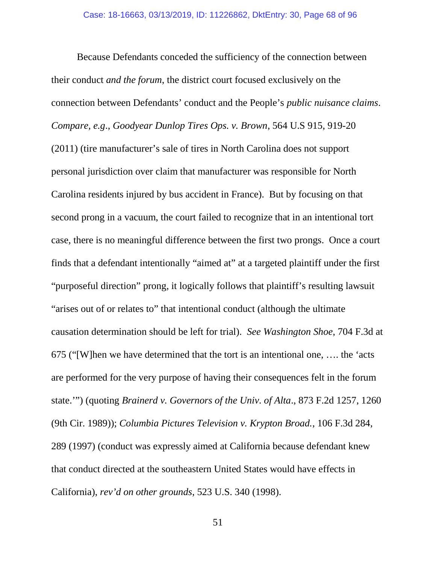Because Defendants conceded the sufficiency of the connection between their conduct *and the forum*, the district court focused exclusively on the connection between Defendants' conduct and the People's *public nuisance claims*. *Compare, e.g*., *Goodyear Dunlop Tires Ops. v. Brown*, 564 U.S 915, 919-20 (2011) (tire manufacturer's sale of tires in North Carolina does not support personal jurisdiction over claim that manufacturer was responsible for North Carolina residents injured by bus accident in France). But by focusing on that second prong in a vacuum, the court failed to recognize that in an intentional tort case, there is no meaningful difference between the first two prongs. Once a court finds that a defendant intentionally "aimed at" at a targeted plaintiff under the first "purposeful direction" prong, it logically follows that plaintiff's resulting lawsuit "arises out of or relates to" that intentional conduct (although the ultimate causation determination should be left for trial). *See Washington Shoe*, 704 F.3d at 675 ("[W]hen we have determined that the tort is an intentional one, …. the 'acts are performed for the very purpose of having their consequences felt in the forum state.'") (quoting *Brainerd v. Governors of the Univ. of Alta*., 873 F.2d 1257, 1260 (9th Cir. 1989)); *Columbia Pictures Television v. Krypton Broad.*, 106 F.3d 284, 289 (1997) (conduct was expressly aimed at California because defendant knew that conduct directed at the southeastern United States would have effects in California), *rev'd on other grounds*, 523 U.S. 340 (1998).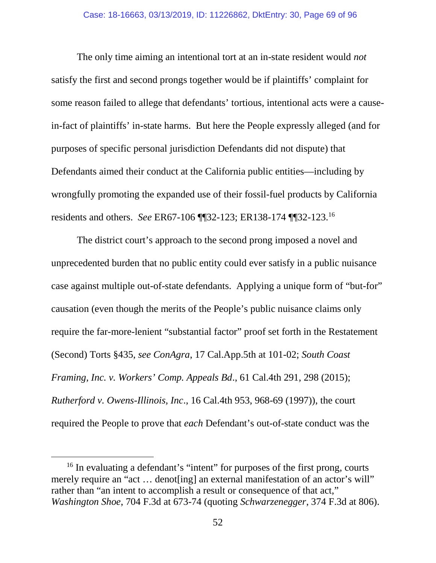The only time aiming an intentional tort at an in-state resident would *not* satisfy the first and second prongs together would be if plaintiffs' complaint for some reason failed to allege that defendants' tortious, intentional acts were a causein-fact of plaintiffs' in-state harms. But here the People expressly alleged (and for purposes of specific personal jurisdiction Defendants did not dispute) that Defendants aimed their conduct at the California public entities—including by wrongfully promoting the expanded use of their fossil-fuel products by California residents and others. *See* ER67-106 ¶¶32-123; ER138-174 ¶¶32-123.<sup>16</sup>

The district court's approach to the second prong imposed a novel and unprecedented burden that no public entity could ever satisfy in a public nuisance case against multiple out-of-state defendants. Applying a unique form of "but-for" causation (even though the merits of the People's public nuisance claims only require the far-more-lenient "substantial factor" proof set forth in the Restatement (Second) Torts §435, *see ConAgra*, 17 Cal.App.5th at 101-02; *South Coast Framing, Inc. v. Workers' Comp. Appeals Bd*., 61 Cal.4th 291, 298 (2015); *Rutherford v. Owens-Illinois, Inc*., 16 Cal.4th 953, 968-69 (1997)), the court required the People to prove that *each* Defendant's out-of-state conduct was the

<sup>&</sup>lt;sup>16</sup> In evaluating a defendant's "intent" for purposes of the first prong, courts merely require an "act ... denot [ing] an external manifestation of an actor's will" rather than "an intent to accomplish a result or consequence of that act," *Washington Shoe*, 704 F.3d at 673-74 (quoting *Schwarzenegger*, 374 F.3d at 806).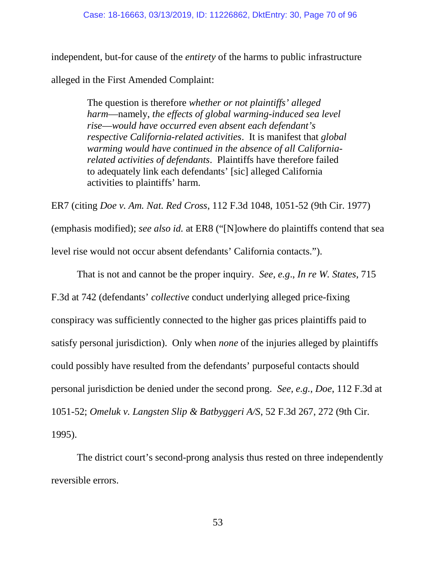independent, but-for cause of the *entirety* of the harms to public infrastructure

alleged in the First Amended Complaint:

The question is therefore *whether or not plaintiffs' alleged harm*—namely, *the effects of global warming-induced sea level rise*—*would have occurred even absent each defendant's respective California-related activities*. It is manifest that *global warming would have continued in the absence of all Californiarelated activities of defendants*. Plaintiffs have therefore failed to adequately link each defendants' [sic] alleged California activities to plaintiffs' harm.

ER7 (citing *Doe v. Am. Nat. Red Cross*, 112 F.3d 1048, 1051-52 (9th Cir. 1977) (emphasis modified); *see also id.* at ER8 ("[N]owhere do plaintiffs contend that sea level rise would not occur absent defendants' California contacts.").

That is not and cannot be the proper inquiry. *See, e.g*., *In re W. States*, 715 F.3d at 742 (defendants' *collective* conduct underlying alleged price-fixing conspiracy was sufficiently connected to the higher gas prices plaintiffs paid to satisfy personal jurisdiction). Only when *none* of the injuries alleged by plaintiffs could possibly have resulted from the defendants' purposeful contacts should personal jurisdiction be denied under the second prong. *See, e.g.*, *Doe*, 112 F.3d at 1051-52; *Omeluk v. Langsten Slip & Batbyggeri A/S*, 52 F.3d 267, 272 (9th Cir. 1995).

The district court's second-prong analysis thus rested on three independently reversible errors.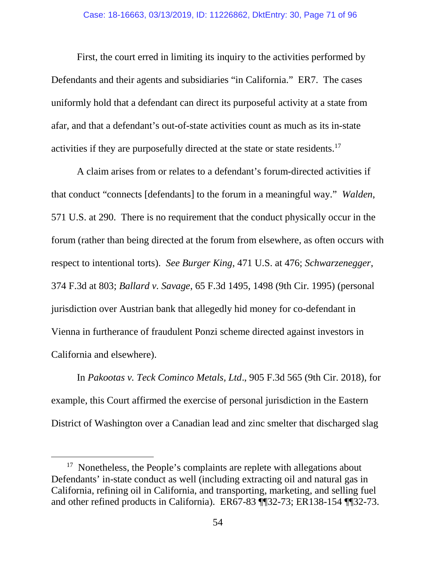First, the court erred in limiting its inquiry to the activities performed by Defendants and their agents and subsidiaries "in California." ER7. The cases uniformly hold that a defendant can direct its purposeful activity at a state from afar, and that a defendant's out-of-state activities count as much as its in-state activities if they are purposefully directed at the state or state residents.<sup>17</sup>

A claim arises from or relates to a defendant's forum-directed activities if that conduct "connects [defendants] to the forum in a meaningful way." *Walden*, 571 U.S. at 290. There is no requirement that the conduct physically occur in the forum (rather than being directed at the forum from elsewhere, as often occurs with respect to intentional torts). *See Burger King*, 471 U.S. at 476; *Schwarzenegger*, 374 F.3d at 803; *Ballard v. Savage*, 65 F.3d 1495, 1498 (9th Cir. 1995) (personal jurisdiction over Austrian bank that allegedly hid money for co-defendant in Vienna in furtherance of fraudulent Ponzi scheme directed against investors in California and elsewhere).

In *Pakootas v. Teck Cominco Metals, Ltd*., 905 F.3d 565 (9th Cir. 2018), for example, this Court affirmed the exercise of personal jurisdiction in the Eastern District of Washington over a Canadian lead and zinc smelter that discharged slag

<sup>&</sup>lt;sup>17</sup> Nonetheless, the People's complaints are replete with allegations about Defendants' in-state conduct as well (including extracting oil and natural gas in California, refining oil in California, and transporting, marketing, and selling fuel and other refined products in California). ER67-83 ¶¶32-73; ER138-154 ¶¶32-73.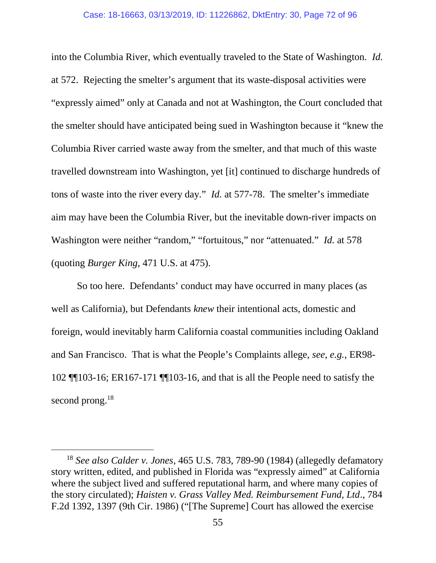into the Columbia River, which eventually traveled to the State of Washington. *Id.* at 572. Rejecting the smelter's argument that its waste-disposal activities were "expressly aimed" only at Canada and not at Washington, the Court concluded that the smelter should have anticipated being sued in Washington because it "knew the Columbia River carried waste away from the smelter, and that much of this waste travelled downstream into Washington, yet [it] continued to discharge hundreds of tons of waste into the river every day." *Id.* at 577-78. The smelter's immediate aim may have been the Columbia River, but the inevitable down-river impacts on Washington were neither "random," "fortuitous," nor "attenuated." *Id.* at 578 (quoting *Burger King*, 471 U.S. at 475).

So too here. Defendants' conduct may have occurred in many places (as well as California), but Defendants *knew* their intentional acts, domestic and foreign, would inevitably harm California coastal communities including Oakland and San Francisco. That is what the People's Complaints allege, *see, e.g.*, ER98- 102 ¶¶103-16; ER167-171 ¶¶103-16, and that is all the People need to satisfy the second prong.<sup>18</sup>

<sup>18</sup> *See also Calder v. Jones*, 465 U.S. 783, 789-90 (1984) (allegedly defamatory story written, edited, and published in Florida was "expressly aimed" at California where the subject lived and suffered reputational harm, and where many copies of the story circulated); *Haisten v. Grass Valley Med. Reimbursement Fund, Ltd*., 784 F.2d 1392, 1397 (9th Cir. 1986) ("[The Supreme] Court has allowed the exercise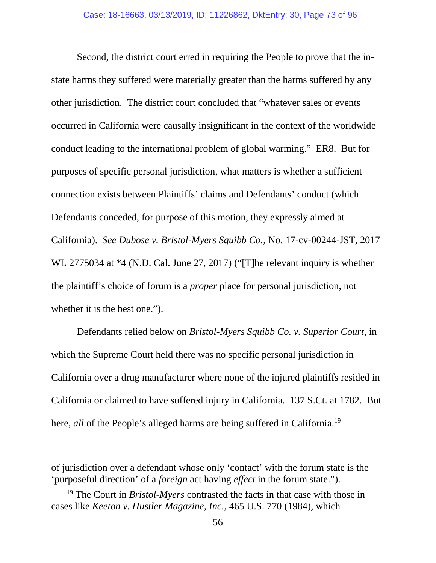Second, the district court erred in requiring the People to prove that the instate harms they suffered were materially greater than the harms suffered by any other jurisdiction. The district court concluded that "whatever sales or events occurred in California were causally insignificant in the context of the worldwide conduct leading to the international problem of global warming." ER8. But for purposes of specific personal jurisdiction, what matters is whether a sufficient connection exists between Plaintiffs' claims and Defendants' conduct (which Defendants conceded, for purpose of this motion, they expressly aimed at California). *See Dubose v. Bristol-Myers Squibb Co.*, No. 17-cv-00244-JST, 2017 WL 2775034 at \*4 (N.D. Cal. June 27, 2017) ("[T]he relevant inquiry is whether the plaintiff's choice of forum is a *proper* place for personal jurisdiction, not whether it is the best one.").

Defendants relied below on *Bristol-Myers Squibb Co. v. Superior Court*, in which the Supreme Court held there was no specific personal jurisdiction in California over a drug manufacturer where none of the injured plaintiffs resided in California or claimed to have suffered injury in California. 137 S.Ct. at 1782. But here, *all* of the People's alleged harms are being suffered in California.<sup>19</sup>

of jurisdiction over a defendant whose only 'contact' with the forum state is the 'purposeful direction' of a *foreign* act having *effect* in the forum state.").

<sup>19</sup> The Court in *Bristol-Myers* contrasted the facts in that case with those in cases like *Keeton v. Hustler Magazine, Inc.*, 465 U.S. 770 (1984), which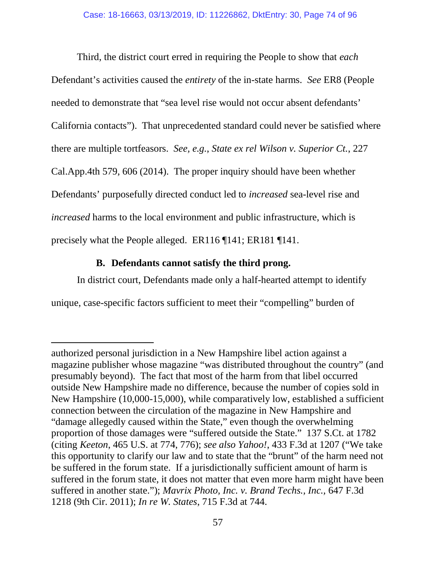Third, the district court erred in requiring the People to show that *each* Defendant's activities caused the *entirety* of the in-state harms. *See* ER8 (People needed to demonstrate that "sea level rise would not occur absent defendants' California contacts"). That unprecedented standard could never be satisfied where there are multiple tortfeasors. *See, e.g.*, *State ex rel Wilson v. Superior Ct.*, 227 Cal.App.4th 579, 606 (2014). The proper inquiry should have been whether Defendants' purposefully directed conduct led to *increased* sea-level rise and *increased* harms to the local environment and public infrastructure, which is precisely what the People alleged. ER116 ¶141; ER181 ¶141.

#### **B. Defendants cannot satisfy the third prong.**

In district court, Defendants made only a half-hearted attempt to identify unique, case-specific factors sufficient to meet their "compelling" burden of

authorized personal jurisdiction in a New Hampshire libel action against a magazine publisher whose magazine "was distributed throughout the country" (and presumably beyond). The fact that most of the harm from that libel occurred outside New Hampshire made no difference, because the number of copies sold in New Hampshire (10,000-15,000), while comparatively low, established a sufficient connection between the circulation of the magazine in New Hampshire and "damage allegedly caused within the State," even though the overwhelming proportion of those damages were "suffered outside the State." 137 S.Ct. at 1782 (citing *Keeton*, 465 U.S. at 774, 776); *see also Yahoo!*, 433 F.3d at 1207 ("We take this opportunity to clarify our law and to state that the "brunt" of the harm need not be suffered in the forum state. If a jurisdictionally sufficient amount of harm is suffered in the forum state, it does not matter that even more harm might have been suffered in another state."); *Mavrix Photo, Inc. v. Brand Techs., Inc.,* 647 F.3d 1218 (9th Cir. 2011); *In re W. States*, 715 F.3d at 744.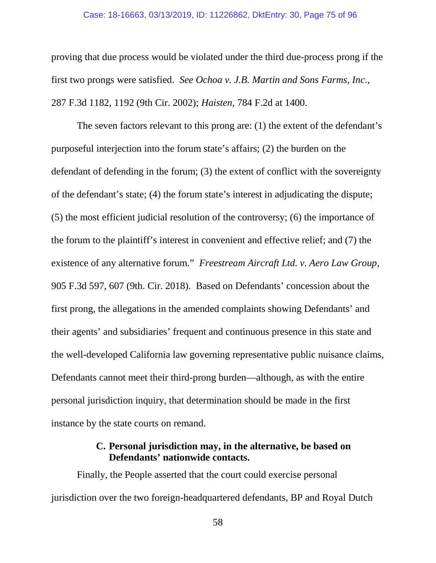#### Case: 18-16663, 03/13/2019, ID: 11226862, DktEntry: 30, Page 75 of 96

proving that due process would be violated under the third due-process prong if the first two prongs were satisfied. *See Ochoa v. J.B. Martin and Sons Farms, Inc*., 287 F.3d 1182, 1192 (9th Cir. 2002); *Haisten*, 784 F.2d at 1400.

The seven factors relevant to this prong are: (1) the extent of the defendant's purposeful interjection into the forum state's affairs; (2) the burden on the defendant of defending in the forum; (3) the extent of conflict with the sovereignty of the defendant's state; (4) the forum state's interest in adjudicating the dispute; (5) the most efficient judicial resolution of the controversy; (6) the importance of the forum to the plaintiff's interest in convenient and effective relief; and (7) the existence of any alternative forum." *Freestream Aircraft Ltd. v. Aero Law Group*, 905 F.3d 597, 607 (9th. Cir. 2018). Based on Defendants' concession about the first prong, the allegations in the amended complaints showing Defendants' and their agents' and subsidiaries' frequent and continuous presence in this state and the well-developed California law governing representative public nuisance claims, Defendants cannot meet their third-prong burden—although, as with the entire personal jurisdiction inquiry, that determination should be made in the first instance by the state courts on remand.

#### **C. Personal jurisdiction may, in the alternative, be based on Defendants' nationwide contacts.**

Finally, the People asserted that the court could exercise personal jurisdiction over the two foreign-headquartered defendants, BP and Royal Dutch

58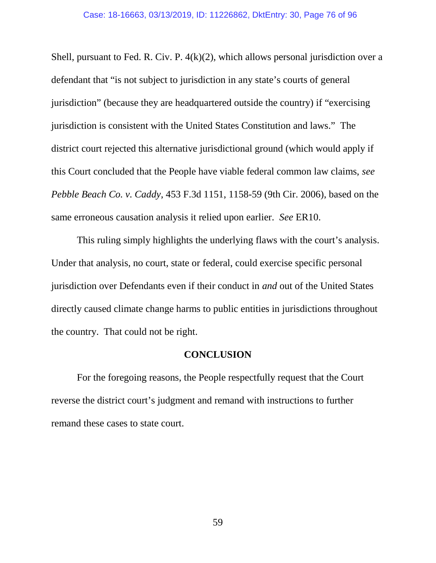Shell, pursuant to Fed. R. Civ. P. 4(k)(2), which allows personal jurisdiction over a defendant that "is not subject to jurisdiction in any state's courts of general jurisdiction" (because they are headquartered outside the country) if "exercising jurisdiction is consistent with the United States Constitution and laws." The district court rejected this alternative jurisdictional ground (which would apply if this Court concluded that the People have viable federal common law claims, *see Pebble Beach Co. v. Caddy*, 453 F.3d 1151, 1158-59 (9th Cir. 2006), based on the same erroneous causation analysis it relied upon earlier. *See* ER10.

This ruling simply highlights the underlying flaws with the court's analysis. Under that analysis, no court, state or federal, could exercise specific personal jurisdiction over Defendants even if their conduct in *and* out of the United States directly caused climate change harms to public entities in jurisdictions throughout the country. That could not be right.

#### **CONCLUSION**

For the foregoing reasons, the People respectfully request that the Court reverse the district court's judgment and remand with instructions to further remand these cases to state court.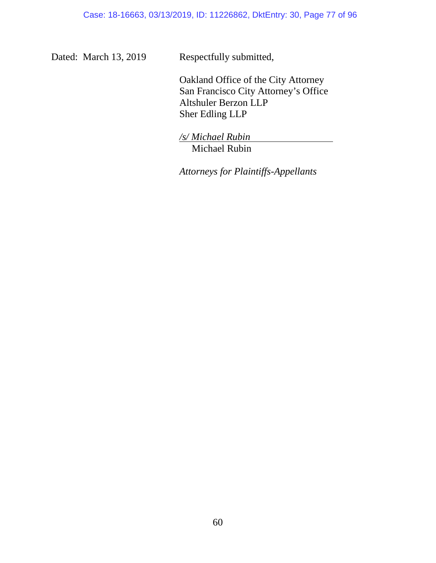Dated: March 13, 2019 Respectfully submitted,

Oakland Office of the City Attorney San Francisco City Attorney's Office Altshuler Berzon LLP Sher Edling LLP

*/s/ Michael Rubin* Michael Rubin

*Attorneys for Plaintiffs-Appellants*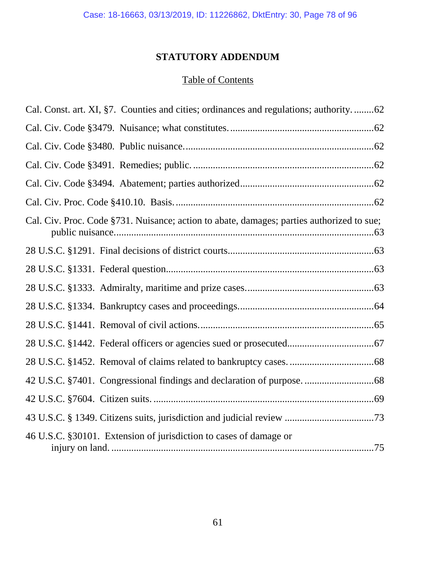# **STATUTORY ADDENDUM**

# Table of Contents

| Cal. Const. art. XI, §7. Counties and cities; ordinances and regulations; authority62     |
|-------------------------------------------------------------------------------------------|
|                                                                                           |
|                                                                                           |
|                                                                                           |
|                                                                                           |
|                                                                                           |
| Cal. Civ. Proc. Code §731. Nuisance; action to abate, damages; parties authorized to sue; |
|                                                                                           |
|                                                                                           |
|                                                                                           |
|                                                                                           |
|                                                                                           |
|                                                                                           |
|                                                                                           |
|                                                                                           |
|                                                                                           |
|                                                                                           |
| 46 U.S.C. §30101. Extension of jurisdiction to cases of damage or                         |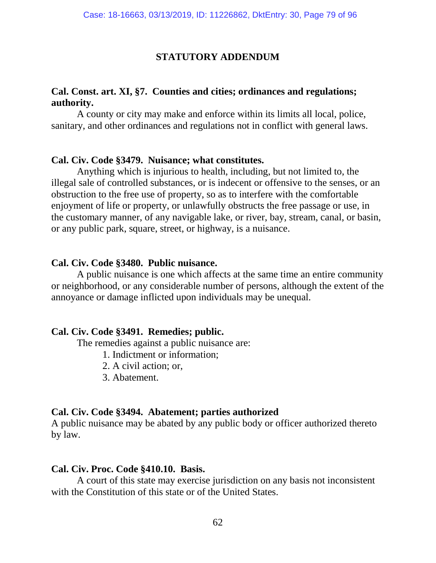# **STATUTORY ADDENDUM**

### **Cal. Const. art. XI, §7. Counties and cities; ordinances and regulations; authority.**

A county or city may make and enforce within its limits all local, police, sanitary, and other ordinances and regulations not in conflict with general laws.

#### **Cal. Civ. Code §3479. Nuisance; what constitutes.**

Anything which is injurious to health, including, but not limited to, the illegal sale of controlled substances, or is indecent or offensive to the senses, or an obstruction to the free use of property, so as to interfere with the comfortable enjoyment of life or property, or unlawfully obstructs the free passage or use, in the customary manner, of any navigable lake, or river, bay, stream, canal, or basin, or any public park, square, street, or highway, is a nuisance.

#### **Cal. Civ. Code §3480. Public nuisance.**

A public nuisance is one which affects at the same time an entire community or neighborhood, or any considerable number of persons, although the extent of the annoyance or damage inflicted upon individuals may be unequal.

#### **Cal. Civ. Code §3491. Remedies; public.**

The remedies against a public nuisance are:

- 1. Indictment or information;
- 2. A civil action; or,
- 3. Abatement.

#### **Cal. Civ. Code §3494. Abatement; parties authorized**

A public nuisance may be abated by any public body or officer authorized thereto by law.

#### **Cal. Civ. Proc. Code §410.10. Basis.**

A court of this state may exercise jurisdiction on any basis not inconsistent with the Constitution of this state or of the United States.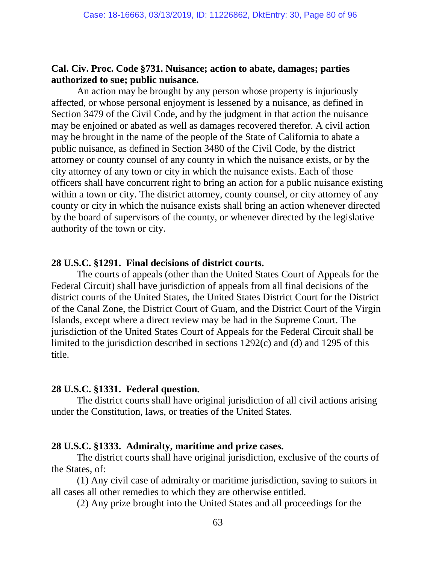#### **Cal. Civ. Proc. Code §731. Nuisance; action to abate, damages; parties authorized to sue; public nuisance.**

An action may be brought by any person whose property is injuriously affected, or whose personal enjoyment is lessened by a nuisance, as defined in Section 3479 of the Civil Code, and by the judgment in that action the nuisance may be enjoined or abated as well as damages recovered therefor. A civil action may be brought in the name of the people of the State of California to abate a public nuisance, as defined in Section 3480 of the Civil Code, by the district attorney or county counsel of any county in which the nuisance exists, or by the city attorney of any town or city in which the nuisance exists. Each of those officers shall have concurrent right to bring an action for a public nuisance existing within a town or city. The district attorney, county counsel, or city attorney of any county or city in which the nuisance exists shall bring an action whenever directed by the board of supervisors of the county, or whenever directed by the legislative authority of the town or city.

#### **28 U.S.C. §1291. Final decisions of district courts.**

The courts of appeals (other than the United States Court of Appeals for the Federal Circuit) shall have jurisdiction of appeals from all final decisions of the district courts of the United States, the United States District Court for the District of the Canal Zone, the District Court of Guam, and the District Court of the Virgin Islands, except where a direct review may be had in the Supreme Court. The jurisdiction of the United States Court of Appeals for the Federal Circuit shall be limited to the jurisdiction described in sections 1292(c) and (d) and 1295 of this title.

#### **28 U.S.C. §1331. Federal question.**

The district courts shall have original jurisdiction of all civil actions arising under the Constitution, laws, or treaties of the United States.

#### **28 U.S.C. §1333. Admiralty, maritime and prize cases.**

The district courts shall have original jurisdiction, exclusive of the courts of the States, of:

(1) Any civil case of admiralty or maritime jurisdiction, saving to suitors in all cases all other remedies to which they are otherwise entitled.

(2) Any prize brought into the United States and all proceedings for the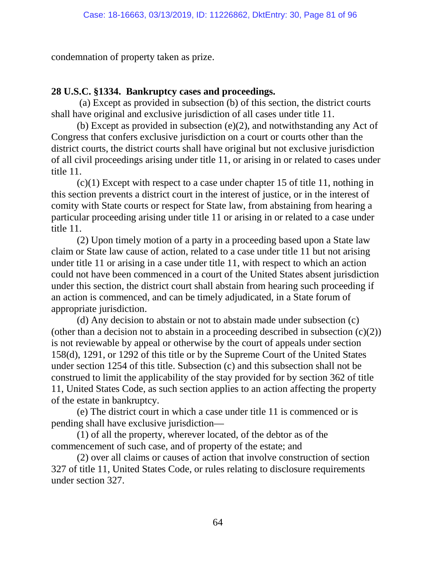condemnation of property taken as prize.

# **28 U.S.C. §1334. Bankruptcy cases and proceedings.**

(a) Except as provided in subsection (b) of this section, the district courts shall have original and exclusive jurisdiction of all cases under title 11.

(b) Except as provided in subsection (e)(2), and notwithstanding any Act of Congress that confers exclusive jurisdiction on a court or courts other than the district courts, the district courts shall have original but not exclusive jurisdiction of all civil proceedings arising under title 11, or arising in or related to cases under title 11.

(c)(1) Except with respect to a case under chapter 15 of title 11, nothing in this section prevents a district court in the interest of justice, or in the interest of comity with State courts or respect for State law, from abstaining from hearing a particular proceeding arising under title 11 or arising in or related to a case under title 11.

(2) Upon timely motion of a party in a proceeding based upon a State law claim or State law cause of action, related to a case under title 11 but not arising under title 11 or arising in a case under title 11, with respect to which an action could not have been commenced in a court of the United States absent jurisdiction under this section, the district court shall abstain from hearing such proceeding if an action is commenced, and can be timely adjudicated, in a State forum of appropriate jurisdiction.

(d) Any decision to abstain or not to abstain made under subsection (c) (other than a decision not to abstain in a proceeding described in subsection  $(c)(2)$ ) is not reviewable by appeal or otherwise by the court of appeals under section 158(d), 1291, or 1292 of this title or by the Supreme Court of the United States under section 1254 of this title. Subsection (c) and this subsection shall not be construed to limit the applicability of the stay provided for by section 362 of title 11, United States Code, as such section applies to an action affecting the property of the estate in bankruptcy.

(e) The district court in which a case under title 11 is commenced or is pending shall have exclusive jurisdiction—

(1) of all the property, wherever located, of the debtor as of the commencement of such case, and of property of the estate; and

(2) over all claims or causes of action that involve construction of section 327 of title 11, United States Code, or rules relating to disclosure requirements under section 327.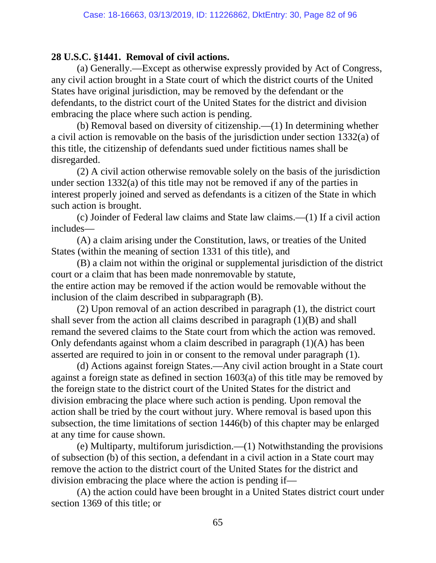# **28 U.S.C. §1441. Removal of civil actions.**

(a) Generally.—Except as otherwise expressly provided by Act of Congress, any civil action brought in a State court of which the district courts of the United States have original jurisdiction, may be removed by the defendant or the defendants, to the district court of the United States for the district and division embracing the place where such action is pending.

(b) Removal based on diversity of citizenship.—(1) In determining whether a civil action is removable on the basis of the jurisdiction under section 1332(a) of this title, the citizenship of defendants sued under fictitious names shall be disregarded.

(2) A civil action otherwise removable solely on the basis of the jurisdiction under section 1332(a) of this title may not be removed if any of the parties in interest properly joined and served as defendants is a citizen of the State in which such action is brought.

(c) Joinder of Federal law claims and State law claims.—(1) If a civil action includes—

(A) a claim arising under the Constitution, laws, or treaties of the United States (within the meaning of section 1331 of this title), and

(B) a claim not within the original or supplemental jurisdiction of the district court or a claim that has been made nonremovable by statute, the entire action may be removed if the action would be removable without the inclusion of the claim described in subparagraph (B).

(2) Upon removal of an action described in paragraph (1), the district court shall sever from the action all claims described in paragraph (1)(B) and shall remand the severed claims to the State court from which the action was removed. Only defendants against whom a claim described in paragraph (1)(A) has been asserted are required to join in or consent to the removal under paragraph (1).

(d) Actions against foreign States.—Any civil action brought in a State court against a foreign state as defined in section 1603(a) of this title may be removed by the foreign state to the district court of the United States for the district and division embracing the place where such action is pending. Upon removal the action shall be tried by the court without jury. Where removal is based upon this subsection, the time limitations of section 1446(b) of this chapter may be enlarged at any time for cause shown.

(e) Multiparty, multiforum jurisdiction.—(1) Notwithstanding the provisions of subsection (b) of this section, a defendant in a civil action in a State court may remove the action to the district court of the United States for the district and division embracing the place where the action is pending if—

(A) the action could have been brought in a United States district court under section 1369 of this title; or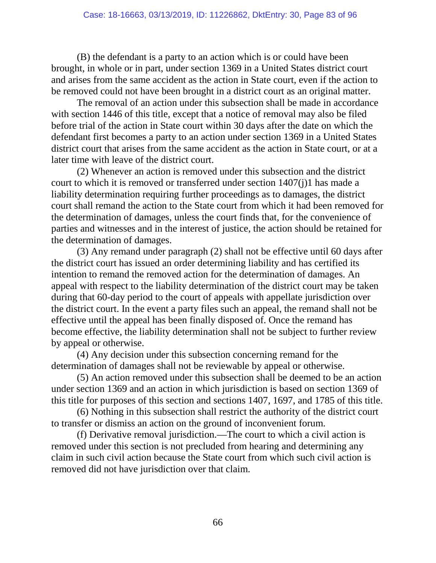(B) the defendant is a party to an action which is or could have been brought, in whole or in part, under section 1369 in a United States district court and arises from the same accident as the action in State court, even if the action to be removed could not have been brought in a district court as an original matter.

The removal of an action under this subsection shall be made in accordance with section 1446 of this title, except that a notice of removal may also be filed before trial of the action in State court within 30 days after the date on which the defendant first becomes a party to an action under section 1369 in a United States district court that arises from the same accident as the action in State court, or at a later time with leave of the district court.

(2) Whenever an action is removed under this subsection and the district court to which it is removed or transferred under section 1407(j)1 has made a liability determination requiring further proceedings as to damages, the district court shall remand the action to the State court from which it had been removed for the determination of damages, unless the court finds that, for the convenience of parties and witnesses and in the interest of justice, the action should be retained for the determination of damages.

(3) Any remand under paragraph (2) shall not be effective until 60 days after the district court has issued an order determining liability and has certified its intention to remand the removed action for the determination of damages. An appeal with respect to the liability determination of the district court may be taken during that 60-day period to the court of appeals with appellate jurisdiction over the district court. In the event a party files such an appeal, the remand shall not be effective until the appeal has been finally disposed of. Once the remand has become effective, the liability determination shall not be subject to further review by appeal or otherwise.

(4) Any decision under this subsection concerning remand for the determination of damages shall not be reviewable by appeal or otherwise.

(5) An action removed under this subsection shall be deemed to be an action under section 1369 and an action in which jurisdiction is based on section 1369 of this title for purposes of this section and sections 1407, 1697, and 1785 of this title.

(6) Nothing in this subsection shall restrict the authority of the district court to transfer or dismiss an action on the ground of inconvenient forum.

(f) Derivative removal jurisdiction.—The court to which a civil action is removed under this section is not precluded from hearing and determining any claim in such civil action because the State court from which such civil action is removed did not have jurisdiction over that claim.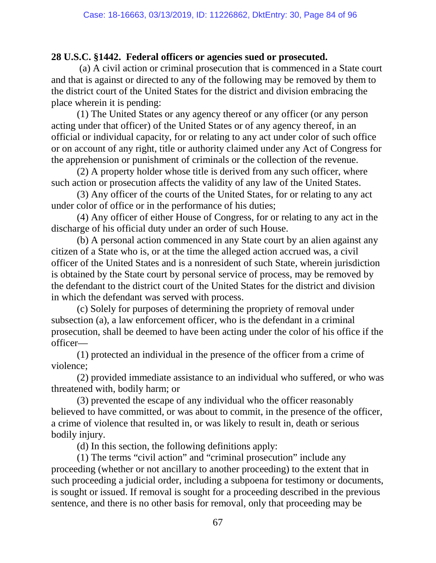### **28 U.S.C. §1442. Federal officers or agencies sued or prosecuted.**

(a) A civil action or criminal prosecution that is commenced in a State court and that is against or directed to any of the following may be removed by them to the district court of the United States for the district and division embracing the place wherein it is pending:

(1) The United States or any agency thereof or any officer (or any person acting under that officer) of the United States or of any agency thereof, in an official or individual capacity, for or relating to any act under color of such office or on account of any right, title or authority claimed under any Act of Congress for the apprehension or punishment of criminals or the collection of the revenue.

(2) A property holder whose title is derived from any such officer, where such action or prosecution affects the validity of any law of the United States.

(3) Any officer of the courts of the United States, for or relating to any act under color of office or in the performance of his duties;

(4) Any officer of either House of Congress, for or relating to any act in the discharge of his official duty under an order of such House.

(b) A personal action commenced in any State court by an alien against any citizen of a State who is, or at the time the alleged action accrued was, a civil officer of the United States and is a nonresident of such State, wherein jurisdiction is obtained by the State court by personal service of process, may be removed by the defendant to the district court of the United States for the district and division in which the defendant was served with process.

(c) Solely for purposes of determining the propriety of removal under subsection (a), a law enforcement officer, who is the defendant in a criminal prosecution, shall be deemed to have been acting under the color of his office if the officer—

(1) protected an individual in the presence of the officer from a crime of violence;

(2) provided immediate assistance to an individual who suffered, or who was threatened with, bodily harm; or

(3) prevented the escape of any individual who the officer reasonably believed to have committed, or was about to commit, in the presence of the officer, a crime of violence that resulted in, or was likely to result in, death or serious bodily injury.

(d) In this section, the following definitions apply:

(1) The terms "civil action" and "criminal prosecution" include any proceeding (whether or not ancillary to another proceeding) to the extent that in such proceeding a judicial order, including a subpoena for testimony or documents, is sought or issued. If removal is sought for a proceeding described in the previous sentence, and there is no other basis for removal, only that proceeding may be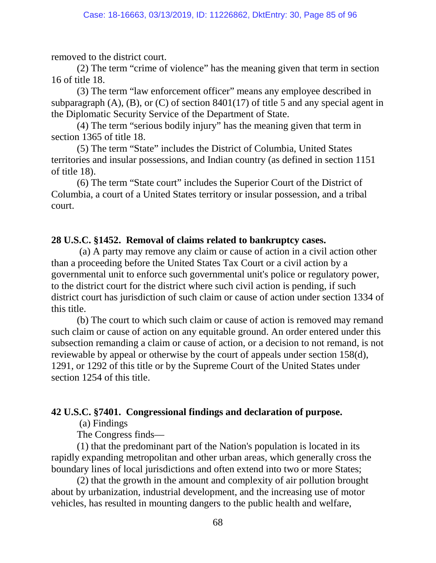removed to the district court.

(2) The term "crime of violence" has the meaning given that term in section 16 of title 18.

(3) The term "law enforcement officer" means any employee described in subparagraph  $(A)$ ,  $(B)$ , or  $(C)$  of section 8401(17) of title 5 and any special agent in the Diplomatic Security Service of the Department of State.

(4) The term "serious bodily injury" has the meaning given that term in section 1365 of title 18.

(5) The term "State" includes the District of Columbia, United States territories and insular possessions, and Indian country (as defined in section 1151 of title 18).

(6) The term "State court" includes the Superior Court of the District of Columbia, a court of a United States territory or insular possession, and a tribal court.

# **28 U.S.C. §1452. Removal of claims related to bankruptcy cases.**

(a) A party may remove any claim or cause of action in a civil action other than a proceeding before the United States Tax Court or a civil action by a governmental unit to enforce such governmental unit's police or regulatory power, to the district court for the district where such civil action is pending, if such district court has jurisdiction of such claim or cause of action under section 1334 of this title.

(b) The court to which such claim or cause of action is removed may remand such claim or cause of action on any equitable ground. An order entered under this subsection remanding a claim or cause of action, or a decision to not remand, is not reviewable by appeal or otherwise by the court of appeals under section 158(d), 1291, or 1292 of this title or by the Supreme Court of the United States under section 1254 of this title.

#### **42 U.S.C. §7401. Congressional findings and declaration of purpose.**

(a) Findings

The Congress finds—

(1) that the predominant part of the Nation's population is located in its rapidly expanding metropolitan and other urban areas, which generally cross the boundary lines of local jurisdictions and often extend into two or more States;

(2) that the growth in the amount and complexity of air pollution brought about by urbanization, industrial development, and the increasing use of motor vehicles, has resulted in mounting dangers to the public health and welfare,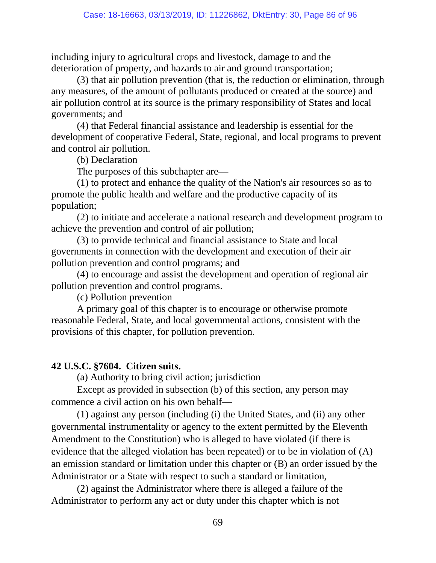including injury to agricultural crops and livestock, damage to and the deterioration of property, and hazards to air and ground transportation;

(3) that air pollution prevention (that is, the reduction or elimination, through any measures, of the amount of pollutants produced or created at the source) and air pollution control at its source is the primary responsibility of States and local governments; and

(4) that Federal financial assistance and leadership is essential for the development of cooperative Federal, State, regional, and local programs to prevent and control air pollution.

(b) Declaration

The purposes of this subchapter are—

(1) to protect and enhance the quality of the Nation's air resources so as to promote the public health and welfare and the productive capacity of its population;

(2) to initiate and accelerate a national research and development program to achieve the prevention and control of air pollution;

(3) to provide technical and financial assistance to State and local governments in connection with the development and execution of their air pollution prevention and control programs; and

(4) to encourage and assist the development and operation of regional air pollution prevention and control programs.

(c) Pollution prevention

A primary goal of this chapter is to encourage or otherwise promote reasonable Federal, State, and local governmental actions, consistent with the provisions of this chapter, for pollution prevention.

# **42 U.S.C. §7604. Citizen suits.**

(a) Authority to bring civil action; jurisdiction

Except as provided in subsection (b) of this section, any person may commence a civil action on his own behalf—

(1) against any person (including (i) the United States, and (ii) any other governmental instrumentality or agency to the extent permitted by the Eleventh Amendment to the Constitution) who is alleged to have violated (if there is evidence that the alleged violation has been repeated) or to be in violation of (A) an emission standard or limitation under this chapter or (B) an order issued by the Administrator or a State with respect to such a standard or limitation,

(2) against the Administrator where there is alleged a failure of the Administrator to perform any act or duty under this chapter which is not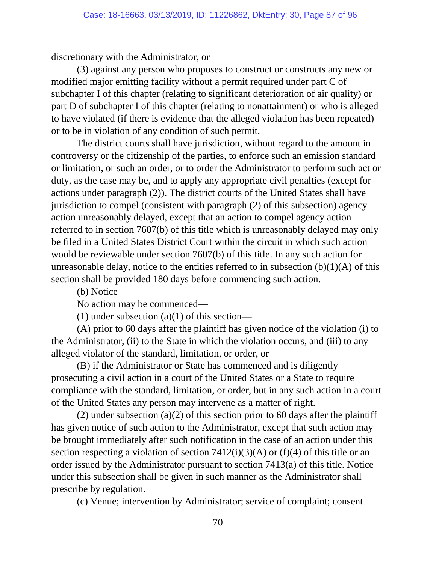discretionary with the Administrator, or

(3) against any person who proposes to construct or constructs any new or modified major emitting facility without a permit required under part C of subchapter I of this chapter (relating to significant deterioration of air quality) or part D of subchapter I of this chapter (relating to nonattainment) or who is alleged to have violated (if there is evidence that the alleged violation has been repeated) or to be in violation of any condition of such permit.

The district courts shall have jurisdiction, without regard to the amount in controversy or the citizenship of the parties, to enforce such an emission standard or limitation, or such an order, or to order the Administrator to perform such act or duty, as the case may be, and to apply any appropriate civil penalties (except for actions under paragraph (2)). The district courts of the United States shall have jurisdiction to compel (consistent with paragraph (2) of this subsection) agency action unreasonably delayed, except that an action to compel agency action referred to in section 7607(b) of this title which is unreasonably delayed may only be filed in a United States District Court within the circuit in which such action would be reviewable under section 7607(b) of this title. In any such action for unreasonable delay, notice to the entities referred to in subsection  $(b)(1)(A)$  of this section shall be provided 180 days before commencing such action.

(b) Notice

No action may be commenced—

(1) under subsection  $(a)(1)$  of this section—

(A) prior to 60 days after the plaintiff has given notice of the violation (i) to the Administrator, (ii) to the State in which the violation occurs, and (iii) to any alleged violator of the standard, limitation, or order, or

(B) if the Administrator or State has commenced and is diligently prosecuting a civil action in a court of the United States or a State to require compliance with the standard, limitation, or order, but in any such action in a court of the United States any person may intervene as a matter of right.

(2) under subsection (a)(2) of this section prior to 60 days after the plaintiff has given notice of such action to the Administrator, except that such action may be brought immediately after such notification in the case of an action under this section respecting a violation of section  $7412(i)(3)(A)$  or  $(f)(4)$  of this title or an order issued by the Administrator pursuant to section 7413(a) of this title. Notice under this subsection shall be given in such manner as the Administrator shall prescribe by regulation.

(c) Venue; intervention by Administrator; service of complaint; consent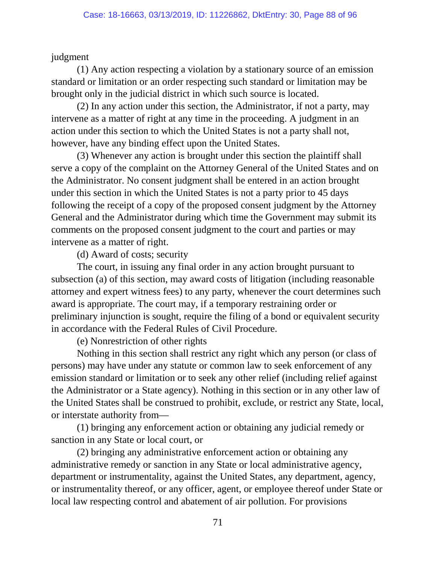# judgment

(1) Any action respecting a violation by a stationary source of an emission standard or limitation or an order respecting such standard or limitation may be brought only in the judicial district in which such source is located.

(2) In any action under this section, the Administrator, if not a party, may intervene as a matter of right at any time in the proceeding. A judgment in an action under this section to which the United States is not a party shall not, however, have any binding effect upon the United States.

(3) Whenever any action is brought under this section the plaintiff shall serve a copy of the complaint on the Attorney General of the United States and on the Administrator. No consent judgment shall be entered in an action brought under this section in which the United States is not a party prior to 45 days following the receipt of a copy of the proposed consent judgment by the Attorney General and the Administrator during which time the Government may submit its comments on the proposed consent judgment to the court and parties or may intervene as a matter of right.

(d) Award of costs; security

The court, in issuing any final order in any action brought pursuant to subsection (a) of this section, may award costs of litigation (including reasonable attorney and expert witness fees) to any party, whenever the court determines such award is appropriate. The court may, if a temporary restraining order or preliminary injunction is sought, require the filing of a bond or equivalent security in accordance with the Federal Rules of Civil Procedure.

(e) Nonrestriction of other rights

Nothing in this section shall restrict any right which any person (or class of persons) may have under any statute or common law to seek enforcement of any emission standard or limitation or to seek any other relief (including relief against the Administrator or a State agency). Nothing in this section or in any other law of the United States shall be construed to prohibit, exclude, or restrict any State, local, or interstate authority from—

(1) bringing any enforcement action or obtaining any judicial remedy or sanction in any State or local court, or

(2) bringing any administrative enforcement action or obtaining any administrative remedy or sanction in any State or local administrative agency, department or instrumentality, against the United States, any department, agency, or instrumentality thereof, or any officer, agent, or employee thereof under State or local law respecting control and abatement of air pollution. For provisions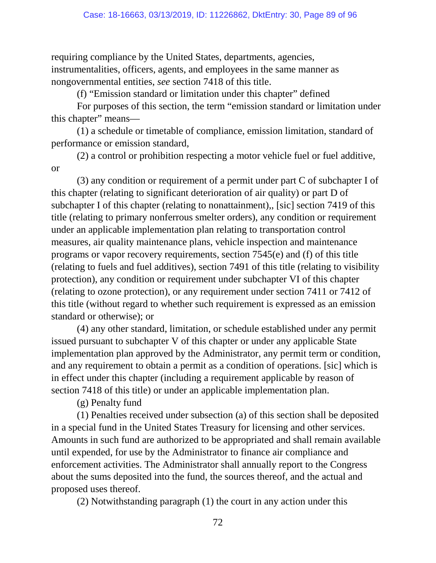requiring compliance by the United States, departments, agencies, instrumentalities, officers, agents, and employees in the same manner as nongovernmental entities, *see* section 7418 of this title.

(f) "Emission standard or limitation under this chapter" defined

For purposes of this section, the term "emission standard or limitation under this chapter" means—

(1) a schedule or timetable of compliance, emission limitation, standard of performance or emission standard,

(2) a control or prohibition respecting a motor vehicle fuel or fuel additive, or

(3) any condition or requirement of a permit under part C of subchapter I of this chapter (relating to significant deterioration of air quality) or part D of subchapter I of this chapter (relating to nonattainment),, [sic] section 7419 of this title (relating to primary nonferrous smelter orders), any condition or requirement under an applicable implementation plan relating to transportation control measures, air quality maintenance plans, vehicle inspection and maintenance programs or vapor recovery requirements, section 7545(e) and (f) of this title (relating to fuels and fuel additives), section 7491 of this title (relating to visibility protection), any condition or requirement under subchapter VI of this chapter (relating to ozone protection), or any requirement under section 7411 or 7412 of this title (without regard to whether such requirement is expressed as an emission standard or otherwise); or

(4) any other standard, limitation, or schedule established under any permit issued pursuant to subchapter V of this chapter or under any applicable State implementation plan approved by the Administrator, any permit term or condition, and any requirement to obtain a permit as a condition of operations. [sic] which is in effect under this chapter (including a requirement applicable by reason of section 7418 of this title) or under an applicable implementation plan.

(g) Penalty fund

(1) Penalties received under subsection (a) of this section shall be deposited in a special fund in the United States Treasury for licensing and other services. Amounts in such fund are authorized to be appropriated and shall remain available until expended, for use by the Administrator to finance air compliance and enforcement activities. The Administrator shall annually report to the Congress about the sums deposited into the fund, the sources thereof, and the actual and proposed uses thereof.

(2) Notwithstanding paragraph (1) the court in any action under this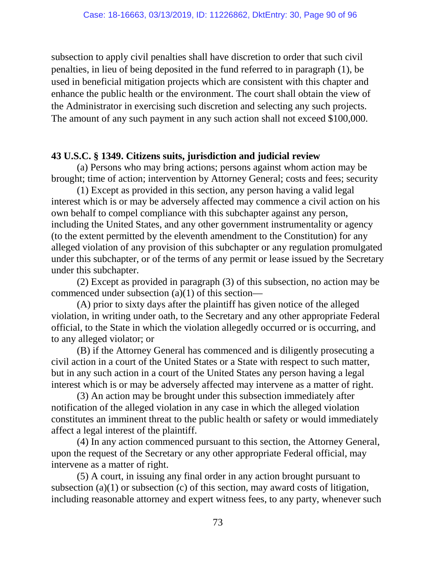subsection to apply civil penalties shall have discretion to order that such civil penalties, in lieu of being deposited in the fund referred to in paragraph (1), be used in beneficial mitigation projects which are consistent with this chapter and enhance the public health or the environment. The court shall obtain the view of the Administrator in exercising such discretion and selecting any such projects. The amount of any such payment in any such action shall not exceed \$100,000.

# **43 U.S.C. § 1349. Citizens suits, jurisdiction and judicial review**

(a) Persons who may bring actions; persons against whom action may be brought; time of action; intervention by Attorney General; costs and fees; security

(1) Except as provided in this section, any person having a valid legal interest which is or may be adversely affected may commence a civil action on his own behalf to compel compliance with this subchapter against any person, including the United States, and any other government instrumentality or agency (to the extent permitted by the eleventh amendment to the Constitution) for any alleged violation of any provision of this subchapter or any regulation promulgated under this subchapter, or of the terms of any permit or lease issued by the Secretary under this subchapter.

(2) Except as provided in paragraph (3) of this subsection, no action may be commenced under subsection (a)(1) of this section—

(A) prior to sixty days after the plaintiff has given notice of the alleged violation, in writing under oath, to the Secretary and any other appropriate Federal official, to the State in which the violation allegedly occurred or is occurring, and to any alleged violator; or

(B) if the Attorney General has commenced and is diligently prosecuting a civil action in a court of the United States or a State with respect to such matter, but in any such action in a court of the United States any person having a legal interest which is or may be adversely affected may intervene as a matter of right.

(3) An action may be brought under this subsection immediately after notification of the alleged violation in any case in which the alleged violation constitutes an imminent threat to the public health or safety or would immediately affect a legal interest of the plaintiff.

(4) In any action commenced pursuant to this section, the Attorney General, upon the request of the Secretary or any other appropriate Federal official, may intervene as a matter of right.

(5) A court, in issuing any final order in any action brought pursuant to subsection (a)(1) or subsection (c) of this section, may award costs of litigation, including reasonable attorney and expert witness fees, to any party, whenever such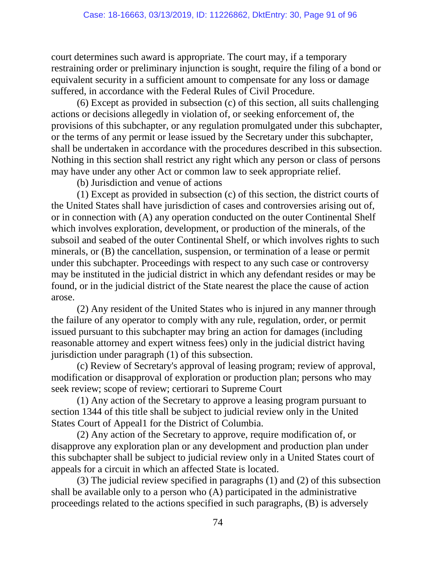court determines such award is appropriate. The court may, if a temporary restraining order or preliminary injunction is sought, require the filing of a bond or equivalent security in a sufficient amount to compensate for any loss or damage suffered, in accordance with the Federal Rules of Civil Procedure.

(6) Except as provided in subsection (c) of this section, all suits challenging actions or decisions allegedly in violation of, or seeking enforcement of, the provisions of this subchapter, or any regulation promulgated under this subchapter, or the terms of any permit or lease issued by the Secretary under this subchapter, shall be undertaken in accordance with the procedures described in this subsection. Nothing in this section shall restrict any right which any person or class of persons may have under any other Act or common law to seek appropriate relief.

(b) Jurisdiction and venue of actions

(1) Except as provided in subsection (c) of this section, the district courts of the United States shall have jurisdiction of cases and controversies arising out of, or in connection with (A) any operation conducted on the outer Continental Shelf which involves exploration, development, or production of the minerals, of the subsoil and seabed of the outer Continental Shelf, or which involves rights to such minerals, or (B) the cancellation, suspension, or termination of a lease or permit under this subchapter. Proceedings with respect to any such case or controversy may be instituted in the judicial district in which any defendant resides or may be found, or in the judicial district of the State nearest the place the cause of action arose.

(2) Any resident of the United States who is injured in any manner through the failure of any operator to comply with any rule, regulation, order, or permit issued pursuant to this subchapter may bring an action for damages (including reasonable attorney and expert witness fees) only in the judicial district having jurisdiction under paragraph (1) of this subsection.

(c) Review of Secretary's approval of leasing program; review of approval, modification or disapproval of exploration or production plan; persons who may seek review; scope of review; certiorari to Supreme Court

(1) Any action of the Secretary to approve a leasing program pursuant to section 1344 of this title shall be subject to judicial review only in the United States Court of Appeal1 for the District of Columbia.

(2) Any action of the Secretary to approve, require modification of, or disapprove any exploration plan or any development and production plan under this subchapter shall be subject to judicial review only in a United States court of appeals for a circuit in which an affected State is located.

(3) The judicial review specified in paragraphs (1) and (2) of this subsection shall be available only to a person who (A) participated in the administrative proceedings related to the actions specified in such paragraphs, (B) is adversely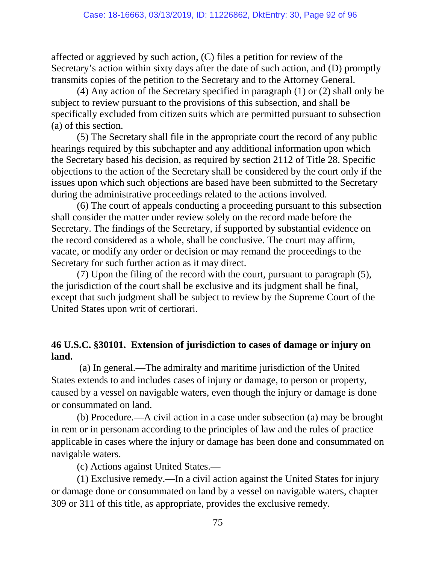affected or aggrieved by such action, (C) files a petition for review of the Secretary's action within sixty days after the date of such action, and (D) promptly transmits copies of the petition to the Secretary and to the Attorney General.

(4) Any action of the Secretary specified in paragraph (1) or (2) shall only be subject to review pursuant to the provisions of this subsection, and shall be specifically excluded from citizen suits which are permitted pursuant to subsection (a) of this section.

(5) The Secretary shall file in the appropriate court the record of any public hearings required by this subchapter and any additional information upon which the Secretary based his decision, as required by section 2112 of Title 28. Specific objections to the action of the Secretary shall be considered by the court only if the issues upon which such objections are based have been submitted to the Secretary during the administrative proceedings related to the actions involved.

(6) The court of appeals conducting a proceeding pursuant to this subsection shall consider the matter under review solely on the record made before the Secretary. The findings of the Secretary, if supported by substantial evidence on the record considered as a whole, shall be conclusive. The court may affirm, vacate, or modify any order or decision or may remand the proceedings to the Secretary for such further action as it may direct.

(7) Upon the filing of the record with the court, pursuant to paragraph (5), the jurisdiction of the court shall be exclusive and its judgment shall be final, except that such judgment shall be subject to review by the Supreme Court of the United States upon writ of certiorari.

# **46 U.S.C. §30101. Extension of jurisdiction to cases of damage or injury on land.**

(a) In general.—The admiralty and maritime jurisdiction of the United States extends to and includes cases of injury or damage, to person or property, caused by a vessel on navigable waters, even though the injury or damage is done or consummated on land.

(b) Procedure.—A civil action in a case under subsection (a) may be brought in rem or in personam according to the principles of law and the rules of practice applicable in cases where the injury or damage has been done and consummated on navigable waters.

(c) Actions against United States.—

(1) Exclusive remedy.—In a civil action against the United States for injury or damage done or consummated on land by a vessel on navigable waters, chapter 309 or 311 of this title, as appropriate, provides the exclusive remedy.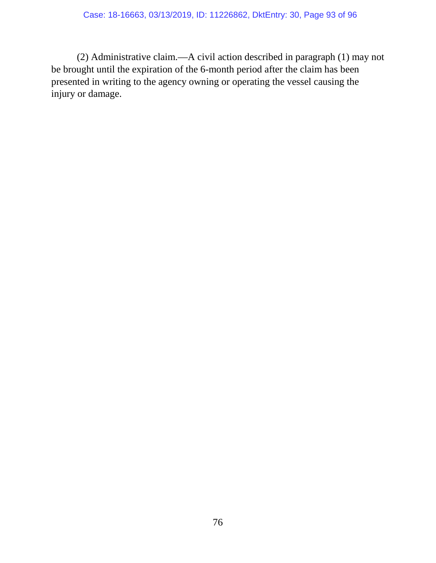(2) Administrative claim.—A civil action described in paragraph (1) may not be brought until the expiration of the 6-month period after the claim has been presented in writing to the agency owning or operating the vessel causing the injury or damage.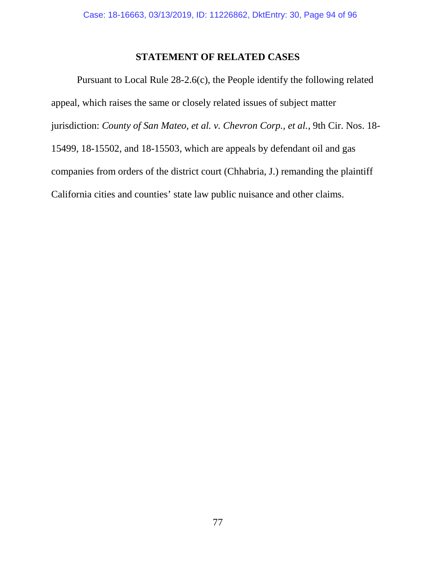### **STATEMENT OF RELATED CASES**

Pursuant to Local Rule 28-2.6(c), the People identify the following related appeal, which raises the same or closely related issues of subject matter jurisdiction: *County of San Mateo, et al. v. Chevron Corp., et al.*, 9th Cir. Nos. 18- 15499, 18-15502, and 18-15503, which are appeals by defendant oil and gas companies from orders of the district court (Chhabria, J.) remanding the plaintiff California cities and counties' state law public nuisance and other claims.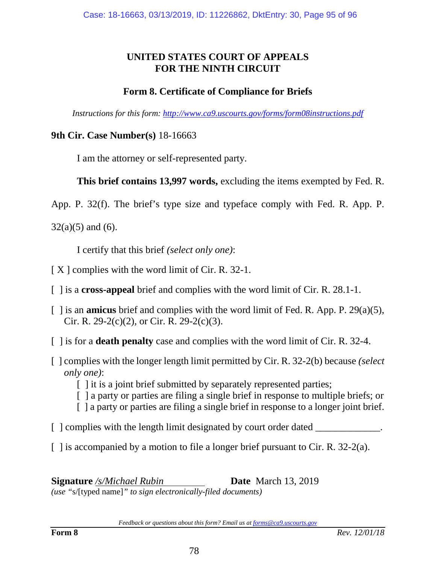# **UNITED STATES COURT OF APPEALS FOR THE NINTH CIRCUIT**

# **Form 8. Certificate of Compliance for Briefs**

*Instructions for this form: http://www.ca9.uscourts.gov/forms/form08instructions.pdf*

# **9th Cir. Case Number(s)** 18-16663

I am the attorney or self-represented party.

# **This brief contains 13,997 words,** excluding the items exempted by Fed. R.

App. P. 32(f). The brief's type size and typeface comply with Fed. R. App. P.

 $32(a)(5)$  and (6).

I certify that this brief *(select only one)*:

- [X] complies with the word limit of Cir. R. 32-1.
- [ ] is a **cross-appeal** brief and complies with the word limit of Cir. R. 28.1-1.
- [ ] is an **amicus** brief and complies with the word limit of Fed. R. App. P. 29(a)(5), Cir. R. 29-2(c)(2), or Cir. R. 29-2(c)(3).
- [ ] is for a **death penalty** case and complies with the word limit of Cir. R. 32-4.
- [ ] complies with the longer length limit permitted by Cir. R. 32-2(b) because *(select only one)*:
	- [ ] it is a joint brief submitted by separately represented parties;
	- [ ] a party or parties are filing a single brief in response to multiple briefs; or
	- [ ] a party or parties are filing a single brief in response to a longer joint brief.
- [ ] complies with the length limit designated by court order dated \_\_\_\_\_\_\_\_\_\_\_\_\_.
- $\lceil$  1 is accompanied by a motion to file a longer brief pursuant to Cir. R. 32-2(a).

**Signature** /s/*Michael Rubin* **Date** March 13, 2019 *(use "*s/[typed name]*" to sign electronically-filed documents)*

*Feedback or questions about this form? Email us at forms@ca9.uscourts.gov*